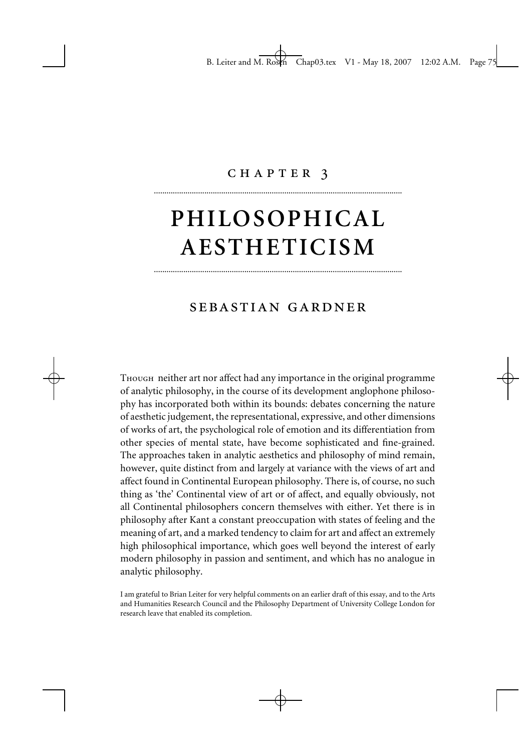B. Leiter and M. Rosen Chap03.tex V1 - May 18, 2007 12:02 A.M. Page 75

 $\oplus$ 

### CHAPTER 3

••••••••••••••••••••••••••••••••••••••••••••••••••••••••••••••••••••••••••••••••••••••••••••••••••••••••••••••••••••••

# **PHILOSOPHICAL AESTHETICISM**

### sebastian gardner

 $\oplus$ 

••••••••••••••••••••••••••••••••••••••••••••••••••••••••••••••••••••••••••••••••••••••••••••••••••••••••••••••••••••••

Though neither art nor affect had any importance in the original programme of analytic philosophy, in the course of its development anglophone philosophy has incorporated both within its bounds: debates concerning the nature of aesthetic judgement, the representational, expressive, and other dimensions of works of art, the psychological role of emotion and its differentiation from other species of mental state, have become sophisticated and fine-grained. The approaches taken in analytic aesthetics and philosophy of mind remain, however, quite distinct from and largely at variance with the views of art and affect found in Continental European philosophy. There is, of course, no such thing as 'the' Continental view of art or of affect, and equally obviously, not all Continental philosophers concern themselves with either. Yet there is in philosophy after Kant a constant preoccupation with states of feeling and the meaning of art, and a marked tendency to claim for art and affect an extremely high philosophical importance, which goes well beyond the interest of early modern philosophy in passion and sentiment, and which has no analogue in analytic philosophy.

I am grateful to Brian Leiter for very helpful comments on an earlier draft of this essay, and to the Arts and Humanities Research Council and the Philosophy Department of University College London for research leave that enabled its completion.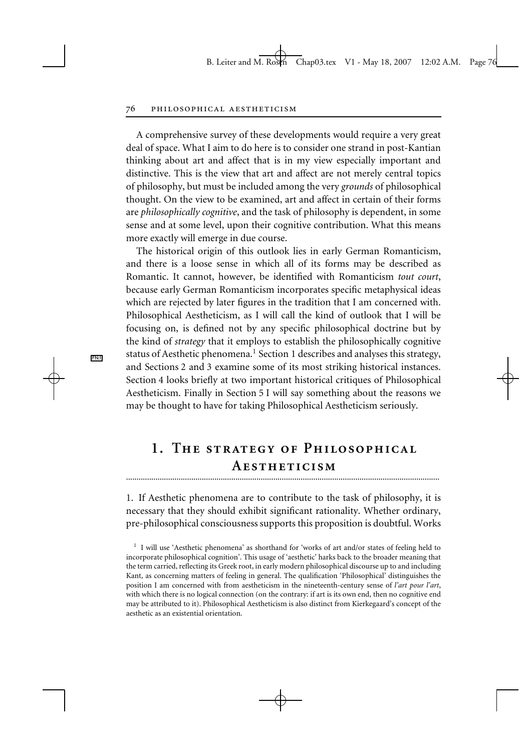#### philosophical aestheticism

 $\oplus$ 

A comprehensive survey of these developments would require a very great deal of space. What I aim to do here is to consider one strand in post-Kantian thinking about art and affect that is in my view especially important and distinctive. This is the view that art and affect are not merely central topics of philosophy, but must be included among the very *grounds* of philosophical thought. On the view to be examined, art and affect in certain of their forms are *philosophically cognitive*, and the task of philosophy is dependent, in some sense and at some level, upon their cognitive contribution. What this means more exactly will emerge in due course.

The historical origin of this outlook lies in early German Romanticism, and there is a loose sense in which all of its forms may be described as Romantic. It cannot, however, be identified with Romanticism *tout court*, because early German Romanticism incorporates specific metaphysical ideas which are rejected by later figures in the tradition that I am concerned with. Philosophical Aestheticism, as I will call the kind of outlook that I will be focusing on, is defined not by any specific philosophical doctrine but by the kind of *strategy* that it employs to establish the philosophically cognitive **status of Aesthetic phenomena.**<sup>1</sup> Section 1 describes and analyses this strategy, and Sections 2 and 3 examine some of its most striking historical instances. Section 4 looks briefly at two important historical critiques of Philosophical Aestheticism. Finally in Section 5 I will say something about the reasons we may be thought to have for taking Philosophical Aestheticism seriously.

## **1. The strategy of Philosophical Aestheticism**

••••••••••••••••••••••••••••••••••••••••••••••••••••••••••••••••••••••••••••••••••••••••••••••••••••••••••••••••••••••••••••••• ••••••••••••••••••••••

1. If Aesthetic phenomena are to contribute to the task of philosophy, it is necessary that they should exhibit significant rationality. Whether ordinary, pre-philosophical consciousness supports this proposition is doubtful. Works

<sup>&</sup>lt;sup>1</sup> I will use 'Aesthetic phenomena' as shorthand for 'works of art and/or states of feeling held to incorporate philosophical cognition'. This usage of 'aesthetic' harks back to the broader meaning that the term carried, reflecting its Greek root, in early modern philosophical discourse up to and including Kant, as concerning matters of feeling in general. The qualification 'Philosophical' distinguishes the position I am concerned with from aestheticism in the nineteenth-century sense of *l'art pour l'art*, with which there is no logical connection (on the contrary: if art is its own end, then no cognitive end may be attributed to it). Philosophical Aestheticism is also distinct from Kierkegaard's concept of the aesthetic as an existential orientation.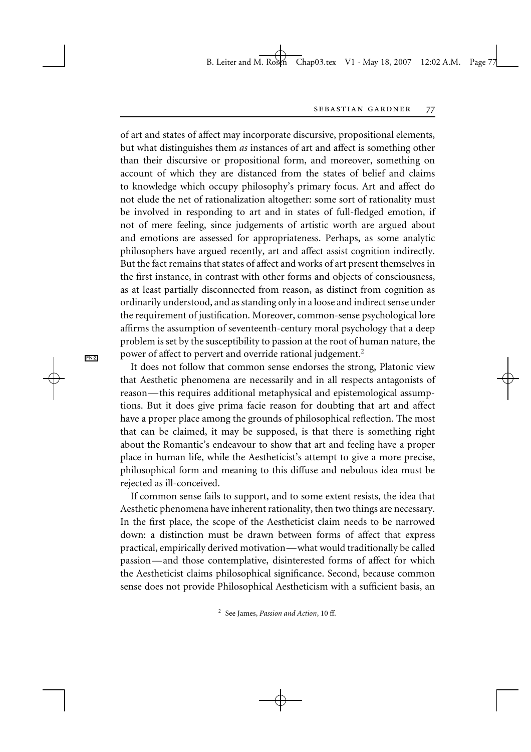$\oplus$ 

of art and states of affect may incorporate discursive, propositional elements, but what distinguishes them *as* instances of art and affect is something other than their discursive or propositional form, and moreover, something on account of which they are distanced from the states of belief and claims to knowledge which occupy philosophy's primary focus. Art and affect do not elude the net of rationalization altogether: some sort of rationality must be involved in responding to art and in states of full-fledged emotion, if not of mere feeling, since judgements of artistic worth are argued about and emotions are assessed for appropriateness. Perhaps, as some analytic philosophers have argued recently, art and affect assist cognition indirectly. But the fact remains that states of affect and works of art present themselves in the first instance, in contrast with other forms and objects of consciousness, as at least partially disconnected from reason, as distinct from cognition as ordinarily understood, and as standing only in a loose and indirect sense under the requirement of justification. Moreover, common-sense psychological lore affirms the assumption of seventeenth-century moral psychology that a deep problem is set by the susceptibility to passion at the root of human nature, the **power of affect to pervert and override rational judgement.**<sup>2</sup>

It does not follow that common sense endorses the strong, Platonic view that Aesthetic phenomena are necessarily and in all respects antagonists of reason—this requires additional metaphysical and epistemological assumptions. But it does give prima facie reason for doubting that art and affect have a proper place among the grounds of philosophical reflection. The most that can be claimed, it may be supposed, is that there is something right about the Romantic's endeavour to show that art and feeling have a proper place in human life, while the Aestheticist's attempt to give a more precise, philosophical form and meaning to this diffuse and nebulous idea must be rejected as ill-conceived.

 $\oplus$ 

If common sense fails to support, and to some extent resists, the idea that Aesthetic phenomena have inherent rationality, then two things are necessary. In the first place, the scope of the Aestheticist claim needs to be narrowed down: a distinction must be drawn between forms of affect that express practical, empirically derived motivation—what would traditionally be called passion—and those contemplative, disinterested forms of affect for which the Aestheticist claims philosophical significance. Second, because common sense does not provide Philosophical Aestheticism with a sufficient basis, an

<sup>2</sup> See James, *Passion and Action*, 10 ff.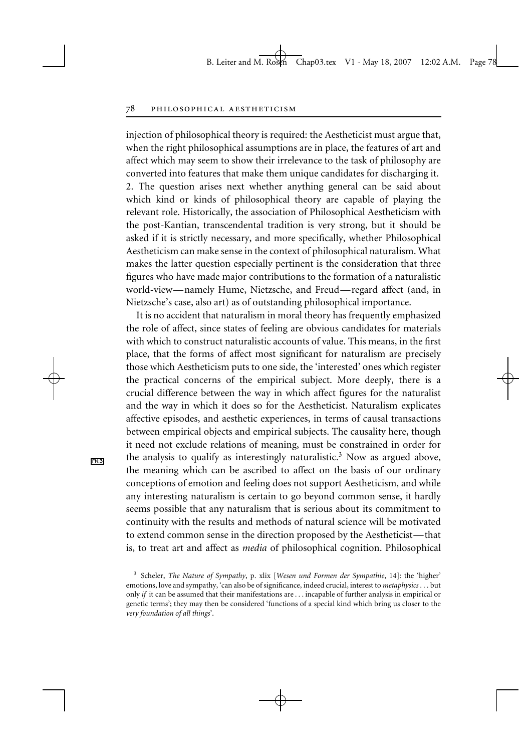#### philosophical aestheticism

injection of philosophical theory is required: the Aestheticist must argue that, when the right philosophical assumptions are in place, the features of art and affect which may seem to show their irrelevance to the task of philosophy are converted into features that make them unique candidates for discharging it. 2. The question arises next whether anything general can be said about which kind or kinds of philosophical theory are capable of playing the relevant role. Historically, the association of Philosophical Aestheticism with the post-Kantian, transcendental tradition is very strong, but it should be asked if it is strictly necessary, and more specifically, whether Philosophical Aestheticism can make sense in the context of philosophical naturalism. What makes the latter question especially pertinent is the consideration that three figures who have made major contributions to the formation of a naturalistic world-view—namely Hume, Nietzsche, and Freud—regard affect (and, in Nietzsche's case, also art) as of outstanding philosophical importance.

It is no accident that naturalism in moral theory has frequently emphasized the role of affect, since states of feeling are obvious candidates for materials with which to construct naturalistic accounts of value. This means, in the first place, that the forms of affect most significant for naturalism are precisely those which Aestheticism puts to one side, the 'interested' ones which register the practical concerns of the empirical subject. More deeply, there is a crucial difference between the way in which affect figures for the naturalist and the way in which it does so for the Aestheticist. Naturalism explicates affective episodes, and aesthetic experiences, in terms of causal transactions between empirical objects and empirical subjects. The causality here, though it need not exclude relations of meaning, must be constrained in order for the analysis to qualify as interestingly naturalistic.<sup>3</sup> Now as argued above, the meaning which can be ascribed to affect on the basis of our ordinary conceptions of emotion and feeling does not support Aestheticism, and while any interesting naturalism is certain to go beyond common sense, it hardly seems possible that any naturalism that is serious about its commitment to continuity with the results and methods of natural science will be motivated to extend common sense in the direction proposed by the Aestheticist—that is, to treat art and affect as *media* of philosophical cognition. Philosophical

 $\bigoplus$ 

<sup>3</sup> Scheler, *The Nature of Sympathy*, p. xlix [*Wesen und Formen der Sympathie*, 14]: the 'higher' emotions, love and sympathy, 'can also be of significance, indeed crucial, interest to *metaphysics ...* but only *if* it can be assumed that their manifestations are *...* incapable of further analysis in empirical or genetic terms'; they may then be considered 'functions of a special kind which bring us closer to the *very foundation of all things*'.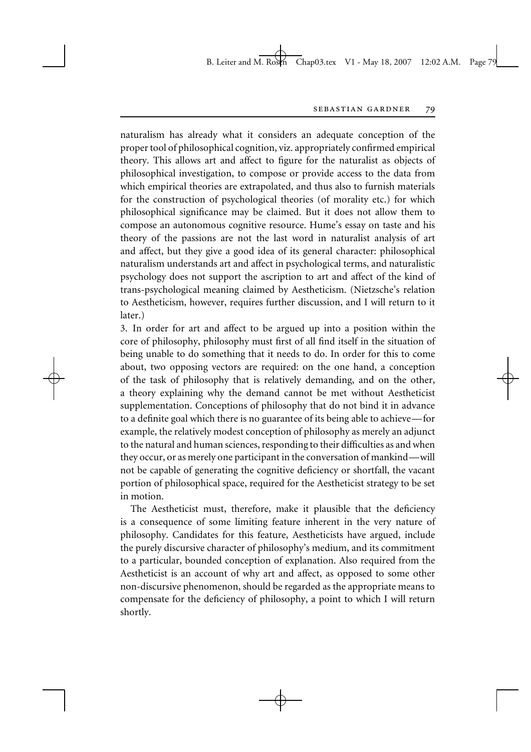$\oplus$ 

naturalism has already what it considers an adequate conception of the proper tool of philosophical cognition, viz. appropriately confirmed empirical theory. This allows art and affect to figure for the naturalist as objects of philosophical investigation, to compose or provide access to the data from which empirical theories are extrapolated, and thus also to furnish materials for the construction of psychological theories (of morality etc.) for which philosophical significance may be claimed. But it does not allow them to compose an autonomous cognitive resource. Hume's essay on taste and his theory of the passions are not the last word in naturalist analysis of art and affect, but they give a good idea of its general character: philosophical naturalism understands art and affect in psychological terms, and naturalistic psychology does not support the ascription to art and affect of the kind of trans-psychological meaning claimed by Aestheticism. (Nietzsche's relation to Aestheticism, however, requires further discussion, and I will return to it later.)

3. In order for art and affect to be argued up into a position within the core of philosophy, philosophy must first of all find itself in the situation of being unable to do something that it needs to do. In order for this to come about, two opposing vectors are required: on the one hand, a conception of the task of philosophy that is relatively demanding, and on the other, a theory explaining why the demand cannot be met without Aestheticist supplementation. Conceptions of philosophy that do not bind it in advance to a definite goal which there is no guarantee of its being able to achieve—for example, the relatively modest conception of philosophy as merely an adjunct to the natural and human sciences, responding to their difficulties as and when they occur, or as merely one participant in the conversation of mankind—will not be capable of generating the cognitive deficiency or shortfall, the vacant portion of philosophical space, required for the Aestheticist strategy to be set in motion.

 $\oplus$ 

The Aestheticist must, therefore, make it plausible that the deficiency is a consequence of some limiting feature inherent in the very nature of philosophy. Candidates for this feature, Aestheticists have argued, include the purely discursive character of philosophy's medium, and its commitment to a particular, bounded conception of explanation. Also required from the Aestheticist is an account of why art and affect, as opposed to some other non-discursive phenomenon, should be regarded as the appropriate means to compensate for the deficiency of philosophy, a point to which I will return shortly.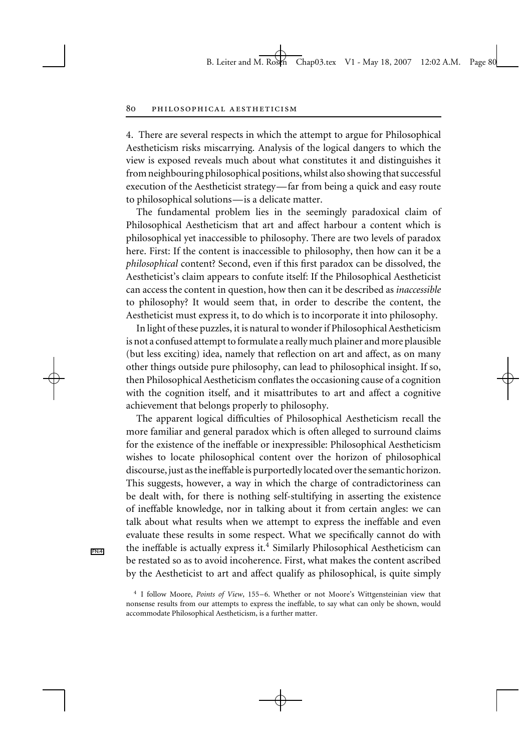#### philosophical aestheticism

4. There are several respects in which the attempt to argue for Philosophical Aestheticism risks miscarrying. Analysis of the logical dangers to which the view is exposed reveals much about what constitutes it and distinguishes it from neighbouring philosophical positions, whilst also showing that successful execution of the Aestheticist strategy—far from being a quick and easy route to philosophical solutions—is a delicate matter.

The fundamental problem lies in the seemingly paradoxical claim of Philosophical Aestheticism that art and affect harbour a content which is philosophical yet inaccessible to philosophy. There are two levels of paradox here. First: If the content is inaccessible to philosophy, then how can it be a *philosophical* content? Second, even if this first paradox can be dissolved, the Aestheticist's claim appears to confute itself: If the Philosophical Aestheticist can access the content in question, how then can it be described as *inaccessible* to philosophy? It would seem that, in order to describe the content, the Aestheticist must express it, to do which is to incorporate it into philosophy.

In light of these puzzles, it is natural to wonder if Philosophical Aestheticism is not a confused attempt to formulate a really much plainer and more plausible (but less exciting) idea, namely that reflection on art and affect, as on many other things outside pure philosophy, can lead to philosophical insight. If so, then Philosophical Aestheticism conflates the occasioning cause of a cognition with the cognition itself, and it misattributes to art and affect a cognitive achievement that belongs properly to philosophy.

The apparent logical difficulties of Philosophical Aestheticism recall the more familiar and general paradox which is often alleged to surround claims for the existence of the ineffable or inexpressible: Philosophical Aestheticism wishes to locate philosophical content over the horizon of philosophical discourse, just as the ineffable is purportedly located over the semantic horizon. This suggests, however, a way in which the charge of contradictoriness can be dealt with, for there is nothing self-stultifying in asserting the existence of ineffable knowledge, nor in talking about it from certain angles: we can talk about what results when we attempt to express the ineffable and even evaluate these results in some respect. What we specifically cannot do with the ineffable is actually express it.<sup>4</sup> Similarly Philosophical Aestheticism can be restated so as to avoid incoherence. First, what makes the content ascribed by the Aestheticist to art and affect qualify as philosophical, is quite simply

 $\oplus$ 

<sup>4</sup> I follow Moore, *Points of View*, 155–6. Whether or not Moore's Wittgensteinian view that nonsense results from our attempts to express the ineffable, to say what can only be shown, would accommodate Philosophical Aestheticism, is a further matter.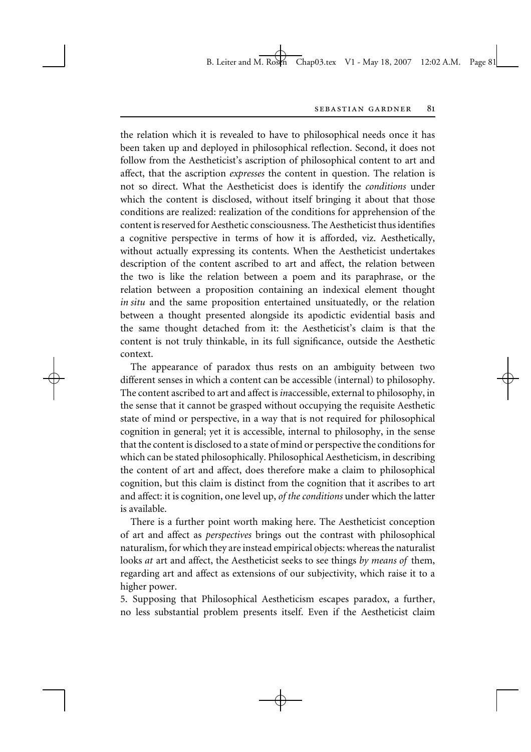$\oplus$ 

the relation which it is revealed to have to philosophical needs once it has been taken up and deployed in philosophical reflection. Second, it does not follow from the Aestheticist's ascription of philosophical content to art and affect, that the ascription *expresses* the content in question. The relation is not so direct. What the Aestheticist does is identify the *conditions* under which the content is disclosed, without itself bringing it about that those conditions are realized: realization of the conditions for apprehension of the content is reserved for Aesthetic consciousness. The Aestheticist thus identifies a cognitive perspective in terms of how it is afforded, viz. Aesthetically, without actually expressing its contents. When the Aestheticist undertakes description of the content ascribed to art and affect, the relation between the two is like the relation between a poem and its paraphrase, or the relation between a proposition containing an indexical element thought *in situ* and the same proposition entertained unsituatedly, or the relation between a thought presented alongside its apodictic evidential basis and the same thought detached from it: the Aestheticist's claim is that the content is not truly thinkable, in its full significance, outside the Aesthetic context.

The appearance of paradox thus rests on an ambiguity between two different senses in which a content can be accessible (internal) to philosophy. The content ascribed to art and affect is *in*accessible, external to philosophy, in the sense that it cannot be grasped without occupying the requisite Aesthetic state of mind or perspective, in a way that is not required for philosophical cognition in general; yet it is accessible, internal to philosophy, in the sense that the content is disclosed to a state of mind or perspective the conditions for which can be stated philosophically. Philosophical Aestheticism, in describing the content of art and affect, does therefore make a claim to philosophical cognition, but this claim is distinct from the cognition that it ascribes to art and affect: it is cognition, one level up, *of the conditions* under which the latter is available.

 $\oplus$ 

There is a further point worth making here. The Aestheticist conception of art and affect as *perspectives* brings out the contrast with philosophical naturalism, for which they are instead empirical objects: whereas the naturalist looks *at* art and affect, the Aestheticist seeks to see things *by means of* them, regarding art and affect as extensions of our subjectivity, which raise it to a higher power.

5. Supposing that Philosophical Aestheticism escapes paradox, a further, no less substantial problem presents itself. Even if the Aestheticist claim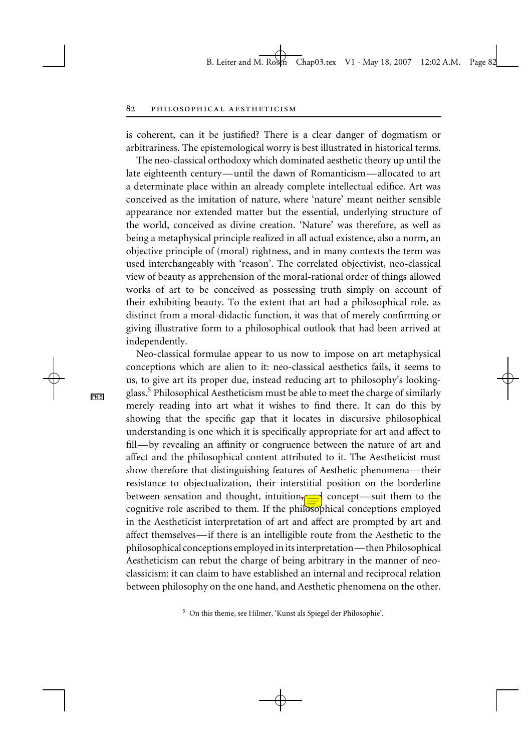#### 82 PHILOSOPHICAL AESTHETICISM

 $\oplus$ 

is coherent, can it be justified? There is a clear danger of dogmatism or arbitrariness. The epistemological worry is best illustrated in historical terms.

The neo-classical orthodoxy which dominated aesthetic theory up until the late eighteenth century—until the dawn of Romanticism—allocated to art a determinate place within an already complete intellectual edifice. Art was conceived as the imitation of nature, where 'nature' meant neither sensible appearance nor extended matter but the essential, underlying structure of the world, conceived as divine creation. 'Nature' was therefore, as well as being a metaphysical principle realized in all actual existence, also a norm, an objective principle of (moral) rightness, and in many contexts the term was used interchangeably with 'reason'. The correlated objectivist, neo-classical view of beauty as apprehension of the moral-rational order of things allowed works of art to be conceived as possessing truth simply on account of their exhibiting beauty. To the extent that art had a philosophical role, as distinct from a moral-didactic function, it was that of merely confirming or giving illustrative form to a philosophical outlook that had been arrived at independently.

Neo-classical formulae appear to us now to impose on art metaphysical conceptions which are alien to it: neo-classical aesthetics fails, it seems to us, to give art its proper due, instead reducing art to philosophy's looking**glass.<sup>5</sup> Philosophical Aestheticism must be able to meet the charge of similarly** merely reading into art what it wishes to find there. It can do this by showing that the specific gap that it locates in discursive philosophical understanding is one which it is specifically appropriate for art and affect to fill—by revealing an affinity or congruence between the nature of art and affect and the philosophical content attributed to it. The Aestheticist must show therefore that distinguishing features of Aesthetic phenomena—their resistance to objectualization, their interstitial position on the borderline between sensation and thought, intuition,  $\equiv$  concept—suit them to the cognitive role ascribed to them. If the philosophical conceptions employed in the Aestheticist interpretation of art and affect are prompted by art and affect themselves—if there is an intelligible route from the Aesthetic to the philosophical conceptions employed in its interpretation—then Philosophical Aestheticism can rebut the charge of being arbitrary in the manner of neoclassicism: it can claim to have established an internal and reciprocal relation between philosophy on the one hand, and Aesthetic phenomena on the other.

<sup>5</sup> On this theme, see Hilmer, 'Kunst als Spiegel der Philosophie'.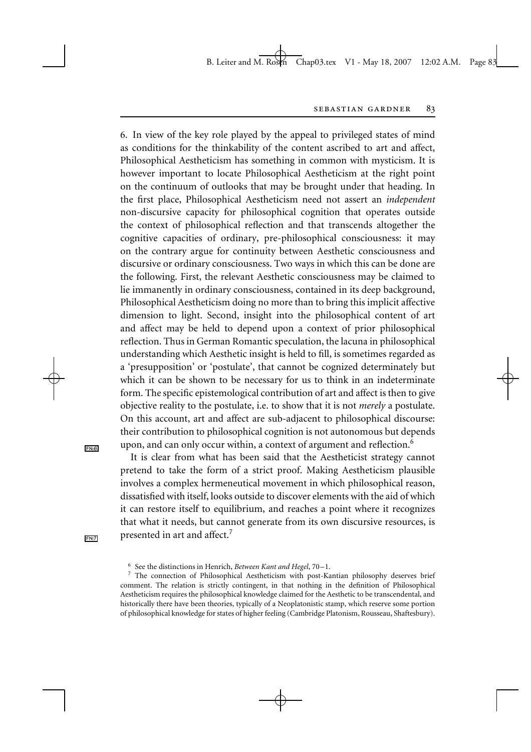$\oplus$ 

6. In view of the key role played by the appeal to privileged states of mind as conditions for the thinkability of the content ascribed to art and affect, Philosophical Aestheticism has something in common with mysticism. It is however important to locate Philosophical Aestheticism at the right point on the continuum of outlooks that may be brought under that heading. In the first place, Philosophical Aestheticism need not assert an *independent* non-discursive capacity for philosophical cognition that operates outside the context of philosophical reflection and that transcends altogether the cognitive capacities of ordinary, pre-philosophical consciousness: it may on the contrary argue for continuity between Aesthetic consciousness and discursive or ordinary consciousness. Two ways in which this can be done are the following. First, the relevant Aesthetic consciousness may be claimed to lie immanently in ordinary consciousness, contained in its deep background, Philosophical Aestheticism doing no more than to bring this implicit affective dimension to light. Second, insight into the philosophical content of art and affect may be held to depend upon a context of prior philosophical reflection. Thus in German Romantic speculation, the lacuna in philosophical understanding which Aesthetic insight is held to fill, is sometimes regarded as a 'presupposition' or 'postulate', that cannot be cognized determinately but which it can be shown to be necessary for us to think in an indeterminate form. The specific epistemological contribution of art and affect is then to give objective reality to the postulate, i.e. to show that it is not *merely* a postulate. On this account, art and affect are sub-adjacent to philosophical discourse: their contribution to philosophical cognition is not autonomous but depends **upon, and can only occur within, a context of argument and reflection.**<sup>6</sup>

It is clear from what has been said that the Aestheticist strategy cannot pretend to take the form of a strict proof. Making Aestheticism plausible involves a complex hermeneutical movement in which philosophical reason, dissatisfied with itself, looks outside to discover elements with the aid of which it can restore itself to equilibrium, and reaches a point where it recognizes that what it needs, but cannot generate from its own discursive resources, is **presented in art and affect.**<sup>7</sup>

 $\oplus$ 

 $^6$  See the distinctions in Henrich, *Between Kant and Hegel*, 70–1.  $^7$  The connection of Philosophical Aestheticism with post-Kantian philosophy deserves brief comment. The relation is strictly contingent, in that nothing in the definition of Philosophical Aestheticism requires the philosophical knowledge claimed for the Aesthetic to be transcendental, and historically there have been theories, typically of a Neoplatonistic stamp, which reserve some portion of philosophical knowledge for states of higher feeling (Cambridge Platonism, Rousseau, Shaftesbury).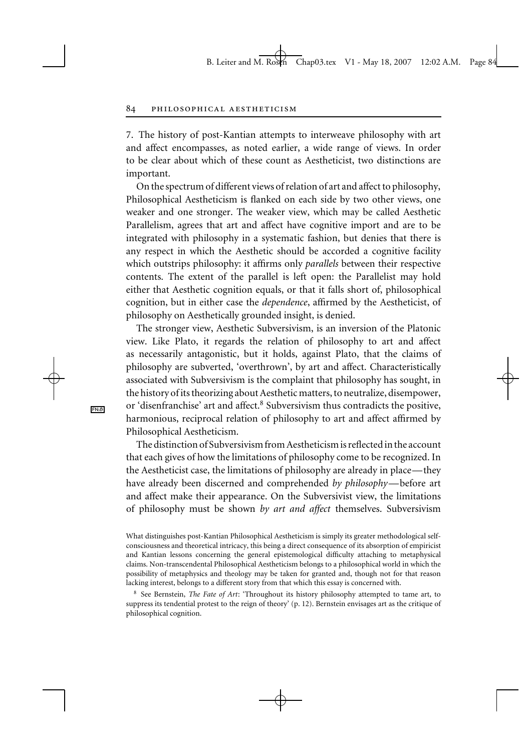#### 84 PHILOSOPHICAL AESTHETICISM

7. The history of post-Kantian attempts to interweave philosophy with art and affect encompasses, as noted earlier, a wide range of views. In order to be clear about which of these count as Aestheticist, two distinctions are important.

On the spectrum of different views of relation of art and affect to philosophy, Philosophical Aestheticism is flanked on each side by two other views, one weaker and one stronger. The weaker view, which may be called Aesthetic Parallelism, agrees that art and affect have cognitive import and are to be integrated with philosophy in a systematic fashion, but denies that there is any respect in which the Aesthetic should be accorded a cognitive facility which outstrips philosophy: it affirms only *parallels* between their respective contents. The extent of the parallel is left open: the Parallelist may hold either that Aesthetic cognition equals, or that it falls short of, philosophical cognition, but in either case the *dependence*, affirmed by the Aestheticist, of philosophy on Aesthetically grounded insight, is denied.

The stronger view, Aesthetic Subversivism, is an inversion of the Platonic view. Like Plato, it regards the relation of philosophy to art and affect as necessarily antagonistic, but it holds, against Plato, that the claims of philosophy are subverted, 'overthrown', by art and affect. Characteristically associated with Subversivism is the complaint that philosophy has sought, in the history of its theorizing about Aesthetic matters, to neutralize, disempower, FINER 618 or 'disenfranchise' art and affect.<sup>8</sup> Subversivism thus contradicts the positive, harmonious, reciprocal relation of philosophy to art and affect affirmed by Philosophical Aestheticism.

 $\oplus$ 

The distinction of Subversivism from Aestheticism is reflected in the account that each gives of how the limitations of philosophy come to be recognized. In the Aestheticist case, the limitations of philosophy are already in place—they have already been discerned and comprehended *by philosophy*—before art and affect make their appearance. On the Subversivist view, the limitations of philosophy must be shown *by art and affect* themselves. Subversivism

 $\bigoplus$ 

What distinguishes post-Kantian Philosophical Aestheticism is simply its greater methodological selfconsciousness and theoretical intricacy, this being a direct consequence of its absorption of empiricist and Kantian lessons concerning the general epistemological difficulty attaching to metaphysical claims. Non-transcendental Philosophical Aestheticism belongs to a philosophical world in which the possibility of metaphysics and theology may be taken for granted and, though not for that reason lacking interest, belongs to a different story from that which this essay is concerned with.

<sup>8</sup> See Bernstein, *The Fate of Art*: 'Throughout its history philosophy attempted to tame art, to suppress its tendential protest to the reign of theory' (p. 12). Bernstein envisages art as the critique of philosophical cognition.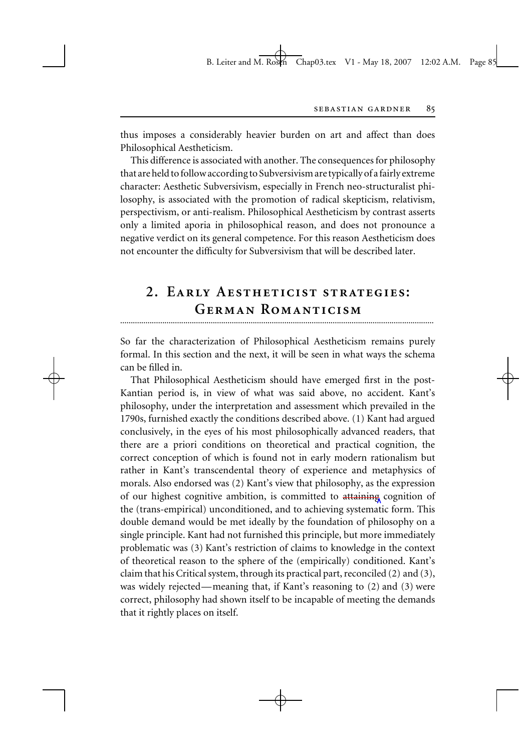$\oplus$ 

thus imposes a considerably heavier burden on art and affect than does Philosophical Aestheticism.

This difference is associated with another. The consequences for philosophy that are held to follow according to Subversivism are typically of a fairly extreme character: Aesthetic Subversivism, especially in French neo-structuralist philosophy, is associated with the promotion of radical skepticism, relativism, perspectivism, or anti-realism. Philosophical Aestheticism by contrast asserts only a limited aporia in philosophical reason, and does not pronounce a negative verdict on its general competence. For this reason Aestheticism does not encounter the difficulty for Subversivism that will be described later.

### **2. Early Aestheticist strategies: German Romanticism**

••••••••••••••••••••••••••••••••••••••••••••••••••••••••••••••••••••••••••••••••••••••••••••••••••••••••••••••••••••••••••••••• ••••••••••••••••••••••

So far the characterization of Philosophical Aestheticism remains purely formal. In this section and the next, it will be seen in what ways the schema can be filled in.

 $\oplus$ 

That Philosophical Aestheticism should have emerged first in the post-Kantian period is, in view of what was said above, no accident. Kant's philosophy, under the interpretation and assessment which prevailed in the 1790s, furnished exactly the conditions described above. (1) Kant had argued conclusively, in the eyes of his most philosophically advanced readers, that there are a priori conditions on theoretical and practical cognition, the correct conception of which is found not in early modern rationalism but rather in Kant's transcendental theory of experience and metaphysics of morals. Also endorsed was (2) Kant's view that philosophy, as the expression of our highest cognitive ambition, is committed to attaining cognition of the (trans-empirical) unconditioned, and to achieving systematic form. This double demand would be met ideally by the foundation of philosophy on a single principle. Kant had not furnished this principle, but more immediately problematic was (3) Kant's restriction of claims to knowledge in the context of theoretical reason to the sphere of the (empirically) conditioned. Kant's claim that his Critical system, through its practical part, reconciled (2) and (3), was widely rejected—meaning that, if Kant's reasoning to (2) and (3) were correct, philosophy had shown itself to be incapable of meeting the demands that it rightly places on itself.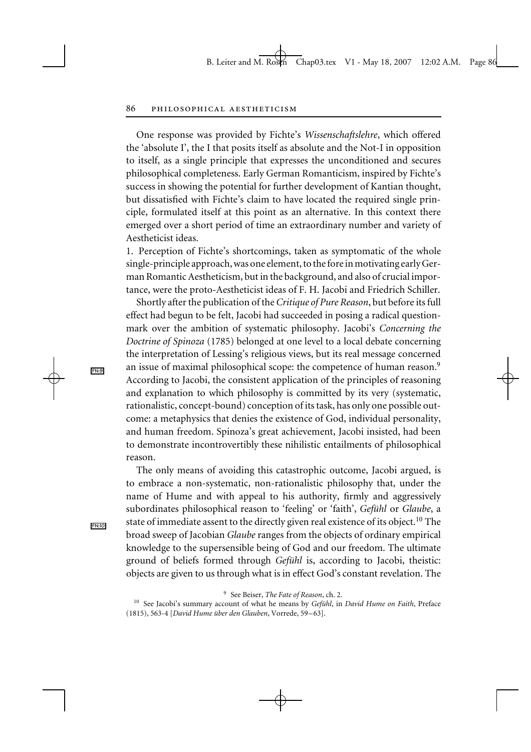#### 86 PHILOSOPHICAL AESTHETICISM

One response was provided by Fichte's *Wissenschaftslehre*, which offered the 'absolute I', the I that posits itself as absolute and the Not-I in opposition to itself, as a single principle that expresses the unconditioned and secures philosophical completeness. Early German Romanticism, inspired by Fichte's success in showing the potential for further development of Kantian thought, but dissatisfied with Fichte's claim to have located the required single principle, formulated itself at this point as an alternative. In this context there emerged over a short period of time an extraordinary number and variety of Aestheticist ideas.

1. Perception of Fichte's shortcomings, taken as symptomatic of the whole single-principle approach, was one element, to the fore in motivating early German Romantic Aestheticism, but in the background, and also of crucial importance, were the proto-Aestheticist ideas of F. H. Jacobi and Friedrich Schiller.

Shortly after the publication of the *Critique of Pure Reason*, but before its full effect had begun to be felt, Jacobi had succeeded in posing a radical questionmark over the ambition of systematic philosophy. Jacobi's *Concerning the Doctrine of Spinoza* (1785) belonged at one level to a local debate concerning the interpretation of Lessing's religious views, but its real message concerned **EN:9** an issue of maximal philosophical scope: the competence of human reason.<sup>9</sup> According to Jacobi, the consistent application of the principles of reasoning and explanation to which philosophy is committed by its very (systematic, rationalistic, concept-bound) conception of its task, has only one possible outcome: a metaphysics that denies the existence of God, individual personality, and human freedom. Spinoza's great achievement, Jacobi insisted, had been to demonstrate incontrovertibly these nihilistic entailments of philosophical reason.

The only means of avoiding this catastrophic outcome, Jacobi argued, is to embrace a non-systematic, non-rationalistic philosophy that, under the name of Hume and with appeal to his authority, firmly and aggressively subordinates philosophical reason to 'feeling' or 'faith', *Gefühl* or *Glaube*, a **state of immediate assent to the directly given real existence of its object.**<sup>10</sup> The broad sweep of Jacobian *Glaube* ranges from the objects of ordinary empirical knowledge to the supersensible being of God and our freedom. The ultimate ground of beliefs formed through *Gefuhl* is, according to Jacobi, theistic: objects are given to us through what is in effect God's constant revelation. The

 $\bigoplus$ 

<sup>&</sup>lt;sup>9</sup> See Beiser, *The Fate of Reason*, ch. 2.<br><sup>10</sup> See Jacobi's summary account of what he means by *Gefuhl*, in *David Hume on Faith*, Preface (1815), 563-4 [*David Hume uber den Glauben ¨* , Vorrede, 59–63].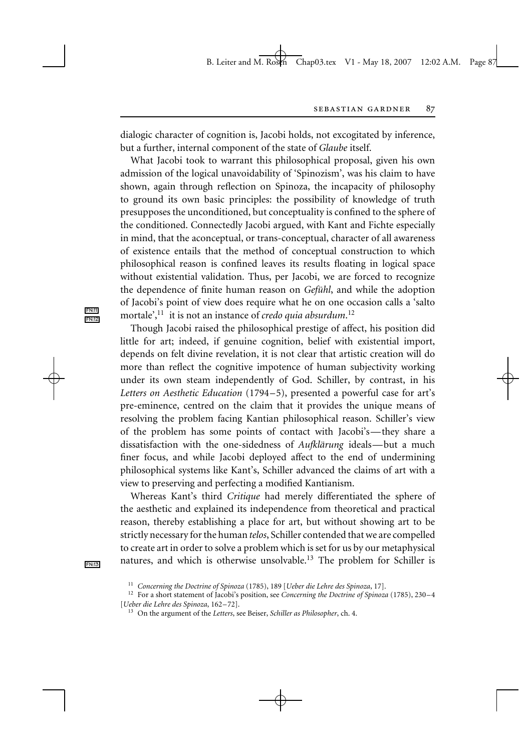$\oplus$ 

dialogic character of cognition is, Jacobi holds, not excogitated by inference, but a further, internal component of the state of *Glaube* itself.

What Jacobi took to warrant this philosophical proposal, given his own admission of the logical unavoidability of 'Spinozism', was his claim to have shown, again through reflection on Spinoza, the incapacity of philosophy to ground its own basic principles: the possibility of knowledge of truth presupposes the unconditioned, but conceptuality is confined to the sphere of the conditioned. Connectedly Jacobi argued, with Kant and Fichte especially in mind, that the aconceptual, or trans-conceptual, character of all awareness of existence entails that the method of conceptual construction to which philosophical reason is confined leaves its results floating in logical space without existential validation. Thus, per Jacobi, we are forced to recognize the dependence of finite human reason on *Gefühl*, and while the adoption of Jacobi's point of view does require what he on one occasion calls a 'salto  $\frac{F(N:11)}{F(N:12)}$  mortale<sup>'</sup>,<sup>11</sup> it is not an instance of *credo quia absurdum*.<sup>12</sup>

Though Jacobi raised the philosophical prestige of affect, his position did little for art; indeed, if genuine cognition, belief with existential import, depends on felt divine revelation, it is not clear that artistic creation will do more than reflect the cognitive impotence of human subjectivity working under its own steam independently of God. Schiller, by contrast, in his *Letters on Aesthetic Education* (1794–5), presented a powerful case for art's pre-eminence, centred on the claim that it provides the unique means of resolving the problem facing Kantian philosophical reason. Schiller's view of the problem has some points of contact with Jacobi's—they share a dissatisfaction with the one-sidedness of *Aufklärung* ideals—but a much finer focus, and while Jacobi deployed affect to the end of undermining philosophical systems like Kant's, Schiller advanced the claims of art with a view to preserving and perfecting a modified Kantianism.

Whereas Kant's third *Critique* had merely differentiated the sphere of the aesthetic and explained its independence from theoretical and practical reason, thereby establishing a place for art, but without showing art to be strictly necessary for the human *telos*, Schiller contended that we are compelled to create art in order to solve a problem which is set for us by our metaphysical F<sub>N:13</sub> natures, and which is otherwise unsolvable.<sup>13</sup> The problem for Schiller is

 $\bigoplus$ 

**FN:12**

<sup>&</sup>lt;sup>11</sup> *Concerning the Doctrine of Spinoza* (1785), 189 *[Ueber die Lehre des Spinoza*, 17].<br><sup>12</sup> For a short statement of Jacobi's position, see *Concerning the Doctrine of Spinoza* (1785), 230–4

<sup>[</sup>*Ueber die Lehre des Spinoza*, 162–72]. <sup>13</sup> On the argument of the *Letters*, see Beiser, *Schiller as Philosopher*, ch. 4.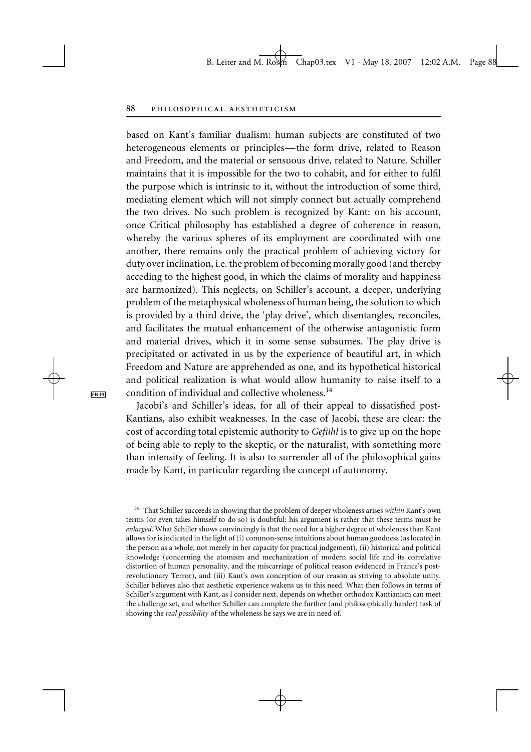#### 88 PHILOSOPHICAL AESTHETICISM

based on Kant's familiar dualism: human subjects are constituted of two heterogeneous elements or principles—the form drive, related to Reason and Freedom, and the material or sensuous drive, related to Nature. Schiller maintains that it is impossible for the two to cohabit, and for either to fulfil the purpose which is intrinsic to it, without the introduction of some third, mediating element which will not simply connect but actually comprehend the two drives. No such problem is recognized by Kant: on his account, once Critical philosophy has established a degree of coherence in reason, whereby the various spheres of its employment are coordinated with one another, there remains only the practical problem of achieving victory for duty over inclination, i.e. the problem of becoming morally good (and thereby acceding to the highest good, in which the claims of morality and happiness are harmonized). This neglects, on Schiller's account, a deeper, underlying problem of the metaphysical wholeness of human being, the solution to which is provided by a third drive, the 'play drive', which disentangles, reconciles, and facilitates the mutual enhancement of the otherwise antagonistic form and material drives, which it in some sense subsumes. The play drive is precipitated or activated in us by the experience of beautiful art, in which Freedom and Nature are apprehended as one, and its hypothetical historical and political realization is what would allow humanity to raise itself to a **EN:14** condition of individual and collective wholeness.<sup>14</sup>

> Jacobi's and Schiller's ideas, for all of their appeal to dissatisfied post-Kantians, also exhibit weaknesses. In the case of Jacobi, these are clear: the cost of according total epistemic authority to *Gefühl* is to give up on the hope of being able to reply to the skeptic, or the naturalist, with something more than intensity of feeling. It is also to surrender all of the philosophical gains made by Kant, in particular regarding the concept of autonomy.

 $\bigoplus$ 

<sup>14</sup> That Schiller succeeds in showing that the problem of deeper wholeness arises *within* Kant's own terms (or even takes himself to do so) is doubtful: his argument is rather that these terms must be *enlarged*. What Schiller shows convincingly is that the need for a higher degree of wholeness than Kant allows for is indicated in the light of (i) common-sense intuitions about human goodness (as located in the person as a whole, not merely in her capacity for practical judgement), (ii) historical and political knowledge (concerning the atomism and mechanization of modern social life and its correlative distortion of human personality, and the miscarriage of political reason evidenced in France's postrevolutionary Terror), and (iii) Kant's own conception of our reason as striving to absolute unity. Schiller believes also that aesthetic experience wakens us to this need. What then follows in terms of Schiller's argument with Kant, as I consider next, depends on whether orthodox Kantianism can meet the challenge set, and whether Schiller can complete the further (and philosophically harder) task of showing the *real possibility* of the wholeness he says we are in need of.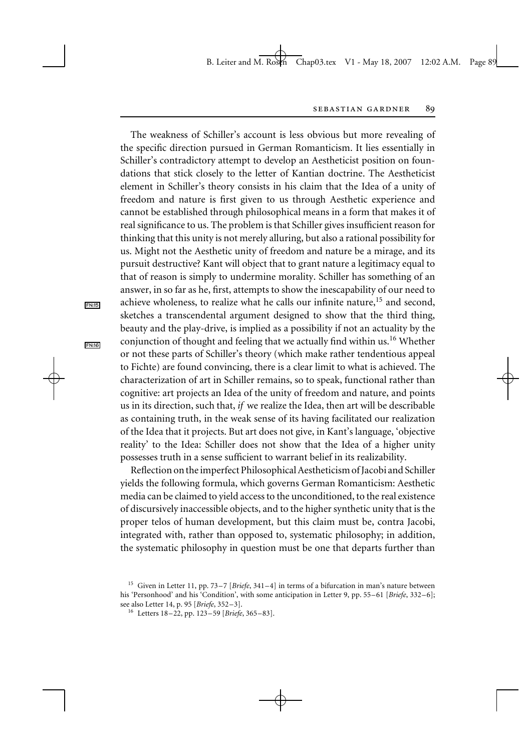$\oplus$ 

The weakness of Schiller's account is less obvious but more revealing of the specific direction pursued in German Romanticism. It lies essentially in Schiller's contradictory attempt to develop an Aestheticist position on foundations that stick closely to the letter of Kantian doctrine. The Aestheticist element in Schiller's theory consists in his claim that the Idea of a unity of freedom and nature is first given to us through Aesthetic experience and cannot be established through philosophical means in a form that makes it of real significance to us. The problem is that Schiller gives insufficient reason for thinking that this unity is not merely alluring, but also a rational possibility for us. Might not the Aesthetic unity of freedom and nature be a mirage, and its pursuit destructive? Kant will object that to grant nature a legitimacy equal to that of reason is simply to undermine morality. Schiller has something of an answer, in so far as he, first, attempts to show the inescapability of our need to **EN:15** achieve wholeness, to realize what he calls our infinite nature,<sup>15</sup> and second, sketches a transcendental argument designed to show that the third thing, beauty and the play-drive, is implied as a possibility if not an actuality by the **FINIG EXAM** conjunction of thought and feeling that we actually find within us.<sup>16</sup> Whether or not these parts of Schiller's theory (which make rather tendentious appeal to Fichte) are found convincing, there is a clear limit to what is achieved. The characterization of art in Schiller remains, so to speak, functional rather than cognitive: art projects an Idea of the unity of freedom and nature, and points us in its direction, such that, *if* we realize the Idea, then art will be describable as containing truth, in the weak sense of its having facilitated our realization of the Idea that it projects. But art does not give, in Kant's language, 'objective reality' to the Idea: Schiller does not show that the Idea of a higher unity possesses truth in a sense sufficient to warrant belief in its realizability.

> Reflection on the imperfect Philosophical Aestheticism of Jacobi and Schiller yields the following formula, which governs German Romanticism: Aesthetic media can be claimed to yield access to the unconditioned, to the real existence of discursively inaccessible objects, and to the higher synthetic unity that is the proper telos of human development, but this claim must be, contra Jacobi, integrated with, rather than opposed to, systematic philosophy; in addition, the systematic philosophy in question must be one that departs further than

 $\bigoplus$ 

<sup>15</sup> Given in Letter 11, pp. 73–7 [*Briefe*, 341–4] in terms of a bifurcation in man's nature between his 'Personhood' and his 'Condition', with some anticipation in Letter 9, pp. 55–61 [*Briefe*, 332–6]; see also Letter 14, p. 95 [*Briefe*, 352–3].

<sup>&</sup>lt;sup>16</sup> Letters 18–22, pp. 123–59 [*Briefe*, 365–83].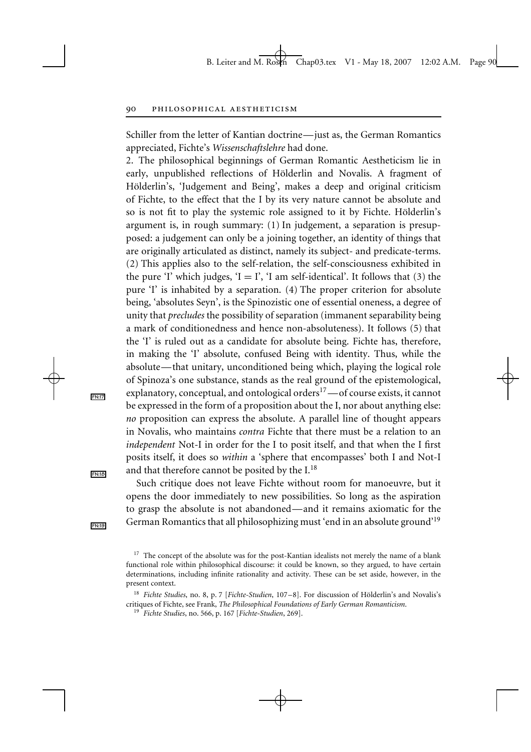#### 90 PHILOSOPHICAL AESTHETICISM

 $\oplus$ 

Schiller from the letter of Kantian doctrine—just as, the German Romantics appreciated, Fichte's *Wissenschaftslehre* had done.

2. The philosophical beginnings of German Romantic Aestheticism lie in early, unpublished reflections of Hölderlin and Novalis. A fragment of Hölderlin's, 'Judgement and Being', makes a deep and original criticism of Fichte, to the effect that the I by its very nature cannot be absolute and so is not fit to play the systemic role assigned to it by Fichte. Hölderlin's argument is, in rough summary: (1) In judgement, a separation is presupposed: a judgement can only be a joining together, an identity of things that are originally articulated as distinct, namely its subject- and predicate-terms. (2) This applies also to the self-relation, the self-consciousness exhibited in the pure 'I' which judges, 'I = I', 'I am self-identical'. It follows that (3) the pure 'I' is inhabited by a separation. (4) The proper criterion for absolute being, 'absolutes Seyn', is the Spinozistic one of essential oneness, a degree of unity that *precludes* the possibility of separation (immanent separability being a mark of conditionedness and hence non-absoluteness). It follows (5) that the 'I' is ruled out as a candidate for absolute being. Fichte has, therefore, in making the 'I' absolute, confused Being with identity. Thus, while the absolute—that unitary, unconditioned being which, playing the logical role of Spinoza's one substance, stands as the real ground of the epistemological,  $F<sub>~~FNI~~</sub>$ </del> explanatory, conceptual, and ontological orders<sup>17</sup> — of course exists, it cannot be expressed in the form of a proposition about the I, nor about anything else: *no* proposition can express the absolute. A parallel line of thought appears in Novalis, who maintains *contra* Fichte that there must be a relation to an *independent* Not-I in order for the I to posit itself, and that when the I first posits itself, it does so *within* a 'sphere that encompasses' both I and Not-I **and that therefore cannot be posited by the I.**<sup>18</sup>

Such critique does not leave Fichte without room for manoeuvre, but it opens the door immediately to new possibilities. So long as the aspiration to grasp the absolute is not abandoned—and it remains axiomatic for the FN:19 German Romantics that all philosophizing must 'end in an absolute ground'<sup>19</sup>

<sup>&</sup>lt;sup>17</sup> The concept of the absolute was for the post-Kantian idealists not merely the name of a blank functional role within philosophical discourse: it could be known, so they argued, to have certain determinations, including infinite rationality and activity. These can be set aside, however, in the present context.

<sup>&</sup>lt;sup>18</sup> Fichte Studies, no. 8, p. 7 [Fichte-Studien, 107-8]. For discussion of Hölderlin's and Novalis's critiques of Fichte, see Frank, *The Philosophical Foundations of Early German Romanticism*. <sup>19</sup> *Fichte Studies*, no. 566, p. 167 [*Fichte-Studien*, 269].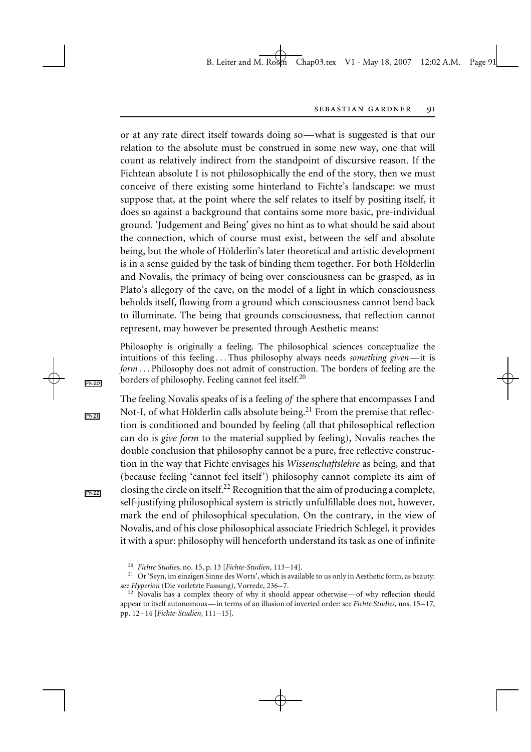$\oplus$ 

or at any rate direct itself towards doing so—what is suggested is that our relation to the absolute must be construed in some new way, one that will count as relatively indirect from the standpoint of discursive reason. If the Fichtean absolute I is not philosophically the end of the story, then we must conceive of there existing some hinterland to Fichte's landscape: we must suppose that, at the point where the self relates to itself by positing itself, it does so against a background that contains some more basic, pre-individual ground. 'Judgement and Being' gives no hint as to what should be said about the connection, which of course must exist, between the self and absolute being, but the whole of Hölderlin's later theoretical and artistic development is in a sense guided by the task of binding them together. For both Hölderlin and Novalis, the primacy of being over consciousness can be grasped, as in Plato's allegory of the cave, on the model of a light in which consciousness beholds itself, flowing from a ground which consciousness cannot bend back to illuminate. The being that grounds consciousness, that reflection cannot represent, may however be presented through Aesthetic means:

Philosophy is originally a feeling. The philosophical sciences conceptualize the intuitions of this feeling *...* Thus philosophy always needs *something given*—it is *form ...* Philosophy does not admit of construction. The borders of feeling are the **borders of philosophy. Feeling cannot feel itself.**<sup>20</sup>

The feeling Novalis speaks of is a feeling *of* the sphere that encompasses I and FN<sub>ERI21</sub> Not-I, of what Hölderlin calls absolute being.<sup>21</sup> From the premise that reflection is conditioned and bounded by feeling (all that philosophical reflection can do is *give form* to the material supplied by feeling), Novalis reaches the double conclusion that philosophy cannot be a pure, free reflective construction in the way that Fichte envisages his *Wissenschaftslehre* as being, and that (because feeling 'cannot feel itself') philosophy cannot complete its aim of  $F<sub>IFN:22</sub>$  closing the circle on itself.<sup>22</sup> Recognition that the aim of producing a complete, self-justifying philosophical system is strictly unfulfillable does not, however, mark the end of philosophical speculation. On the contrary, in the view of Novalis, and of his close philosophical associate Friedrich Schlegel, it provides it with a spur: philosophy will henceforth understand its task as one of infinite

 $\oplus$ 

<sup>20</sup> *Fichte Studies*, no. 15, p. 13 [*Fichte-Studien*, 113–14]. <sup>21</sup> Or 'Seyn, im einzigen Sinne des Worts', which is available to us only in Aesthetic form, as beauty: see *Hyperion* (Die vorletzte Fassung), Vorrede, 236–7.<br><sup>22</sup> Novalis has a complex theory of why it should appear otherwise—of why reflection should

appear to itself autonomous—in terms of an illusion of inverted order: see *Fichte Studies*, nos. 15–17, pp. 12–14 [*Fichte-Studien*, 111–15].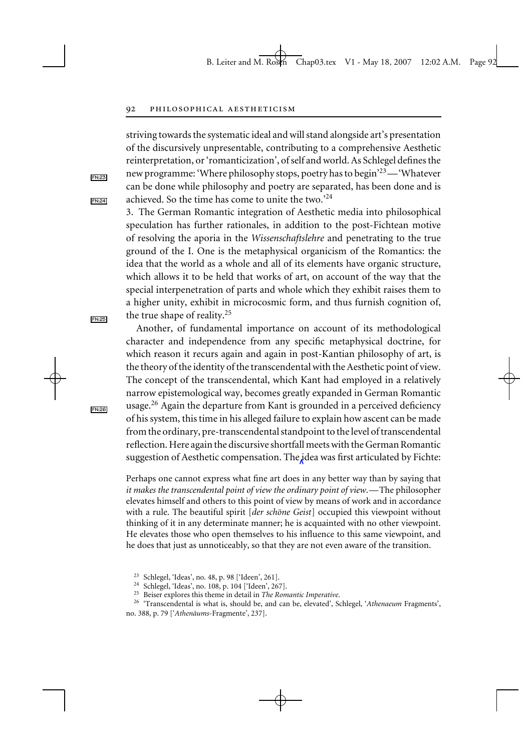#### 92 PHILOSOPHICAL AESTHETICISM

striving towards the systematic ideal and will stand alongside art's presentation of the discursively unpresentable, contributing to a comprehensive Aesthetic reinterpretation, or 'romanticization', of self and world. As Schlegel defines the new programme: 'Where philosophy stops, poetry has to begin'23—'Whatever **FN:23** can be done while philosophy and poetry are separated, has been done and is **EN:24** achieved. So the time has come to unite the two.<sup>'24</sup>

3. The German Romantic integration of Aesthetic media into philosophical speculation has further rationales, in addition to the post-Fichtean motive of resolving the aporia in the *Wissenschaftslehre* and penetrating to the true ground of the I. One is the metaphysical organicism of the Romantics: the idea that the world as a whole and all of its elements have organic structure, which allows it to be held that works of art, on account of the way that the special interpenetration of parts and whole which they exhibit raises them to a higher unity, exhibit in microcosmic form, and thus furnish cognition of, **the true shape of reality.**<sup>25</sup>

Another, of fundamental importance on account of its methodological character and independence from any specific metaphysical doctrine, for which reason it recurs again and again in post-Kantian philosophy of art, is the theory of the identity of the transcendental with the Aesthetic point of view. The concept of the transcendental, which Kant had employed in a relatively narrow epistemological way, becomes greatly expanded in German Romantic F<sub>FN:26</sub> usage.<sup>26</sup> Again the departure from Kant is grounded in a perceived deficiency of his system, this time in his alleged failure to explain how ascent can be made from the ordinary, pre-transcendental standpoint to the level of transcendental reflection. Here again the discursive shortfall meets with the German Romantic suggestion of Aesthetic compensation. The idea was first articulated by Fichte:

> Perhaps one cannot express what fine art does in any better way than by saying that *it makes the transcendental point of view the ordinary point of view*.—The philosopher elevates himself and others to this point of view by means of work and in accordance with a rule. The beautiful spirit [der schöne Geist] occupied this viewpoint without thinking of it in any determinate manner; he is acquainted with no other viewpoint. He elevates those who open themselves to his influence to this same viewpoint, and he does that just as unnoticeably, so that they are not even aware of the transition.

<sup>23</sup> Schlegel, 'Ideas', no. 48, p. 98 ['Ideen', 261].<br>
<sup>24</sup> Schlegel, 'Ideas', no. 108, p. 104 ['Ideen', 267].<br>
<sup>25</sup> Beiser explores this theme in detail in *The Romantic Imperative*.<br>
<sup>25</sup> Transcendental is what is, shou no. 388, p. 79 ['Athenäums-Fragmente', 237].

 $\bigoplus$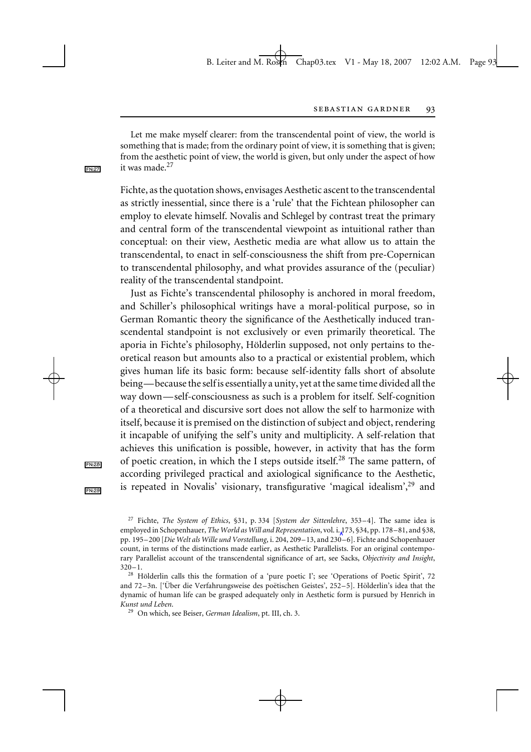$\oplus$ 

Let me make myself clearer: from the transcendental point of view, the world is something that is made; from the ordinary point of view, it is something that is given; from the aesthetic point of view, the world is given, but only under the aspect of how  $F<sub>N:27</sub>$  it was made.<sup>27</sup>

> Fichte, as the quotation shows, envisages Aesthetic ascent to the transcendental as strictly inessential, since there is a 'rule' that the Fichtean philosopher can employ to elevate himself. Novalis and Schlegel by contrast treat the primary and central form of the transcendental viewpoint as intuitional rather than conceptual: on their view, Aesthetic media are what allow us to attain the transcendental, to enact in self-consciousness the shift from pre-Copernican to transcendental philosophy, and what provides assurance of the (peculiar) reality of the transcendental standpoint.

Just as Fichte's transcendental philosophy is anchored in moral freedom, and Schiller's philosophical writings have a moral-political purpose, so in German Romantic theory the significance of the Aesthetically induced transcendental standpoint is not exclusively or even primarily theoretical. The aporia in Fichte's philosophy, Hölderlin supposed, not only pertains to theoretical reason but amounts also to a practical or existential problem, which gives human life its basic form: because self-identity falls short of absolute being—because the self is essentially a unity, yet at the same time divided all the way down—self-consciousness as such is a problem for itself. Self-cognition of a theoretical and discursive sort does not allow the self to harmonize with itself, because it is premised on the distinction of subject and object, rendering it incapable of unifying the self's unity and multiplicity. A self-relation that achieves this unification is possible, however, in activity that has the form FN:28 of poetic creation, in which the I steps outside itself.<sup>28</sup> The same pattern, of according privileged practical and axiological significance to the Aesthetic, is repeated in Novalis' visionary, transfigurative 'magical idealism',29 **FN:29** and

 $\bigoplus$ 

<sup>27</sup> Fichte, *The System of Ethics*, §31, p. 334 [*System der Sittenlehre*, 353–4]. The same idea is employed in Schopenhauer, *The World as Will and Representation*, vol. i.<sub>4</sub>173, §34, pp. 178-81, and §38, pp. 195–200 [*Die Welt als Wille und Vorstellung*, i. 204, 209–13, and 230–6]. Fichte and Schopenhauer count, in terms of the distinctions made earlier, as Aesthetic Parallelists. For an original contemporary Parallelist account of the transcendental significance of art, see Sacks, *Objectivity and Insight*,

 $320-1$ .<br><sup>28</sup> Hölderlin calls this the formation of a 'pure poetic I'; see 'Operations of Poetic Spirit', 72 and 72–3n. ['Über die Verfahrungsweise des poëtischen Geistes', 252–5]. Hölderlin's idea that the dynamic of human life can be grasped adequately only in Aesthetic form is pursued by Henrich in *Kunst und Leben*. <sup>29</sup> On which, see Beiser, *German Idealism*, pt. III, ch. 3.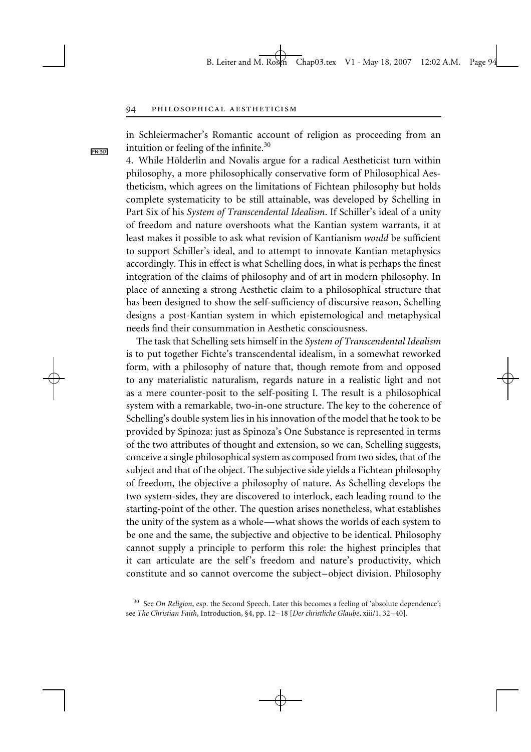#### 94 PHILOSOPHICAL AESTHETICISM

 $\oplus$ 

in Schleiermacher's Romantic account of religion as proceeding from an **FN:30** intuition or feeling of the infinite.<sup>30</sup>

> 4. While Hölderlin and Novalis argue for a radical Aestheticist turn within philosophy, a more philosophically conservative form of Philosophical Aestheticism, which agrees on the limitations of Fichtean philosophy but holds complete systematicity to be still attainable, was developed by Schelling in Part Six of his *System of Transcendental Idealism*. If Schiller's ideal of a unity of freedom and nature overshoots what the Kantian system warrants, it at least makes it possible to ask what revision of Kantianism *would* be sufficient to support Schiller's ideal, and to attempt to innovate Kantian metaphysics accordingly. This in effect is what Schelling does, in what is perhaps the finest integration of the claims of philosophy and of art in modern philosophy. In place of annexing a strong Aesthetic claim to a philosophical structure that has been designed to show the self-sufficiency of discursive reason, Schelling designs a post-Kantian system in which epistemological and metaphysical needs find their consummation in Aesthetic consciousness.

> The task that Schelling sets himself in the *System of Transcendental Idealism* is to put together Fichte's transcendental idealism, in a somewhat reworked form, with a philosophy of nature that, though remote from and opposed to any materialistic naturalism, regards nature in a realistic light and not as a mere counter-posit to the self-positing I. The result is a philosophical system with a remarkable, two-in-one structure. The key to the coherence of Schelling's double system lies in his innovation of the model that he took to be provided by Spinoza: just as Spinoza's One Substance is represented in terms of the two attributes of thought and extension, so we can, Schelling suggests, conceive a single philosophical system as composed from two sides, that of the subject and that of the object. The subjective side yields a Fichtean philosophy of freedom, the objective a philosophy of nature. As Schelling develops the two system-sides, they are discovered to interlock, each leading round to the starting-point of the other. The question arises nonetheless, what establishes the unity of the system as a whole—what shows the worlds of each system to be one and the same, the subjective and objective to be identical. Philosophy cannot supply a principle to perform this role: the highest principles that it can articulate are the self's freedom and nature's productivity, which constitute and so cannot overcome the subject–object division. Philosophy

<sup>&</sup>lt;sup>30</sup> See *On Religion*, esp. the Second Speech. Later this becomes a feeling of 'absolute dependence'; see *The Christian Faith*, Introduction, §4, pp. 12–18 [*Der christliche Glaube*, xiii/1. 32–40].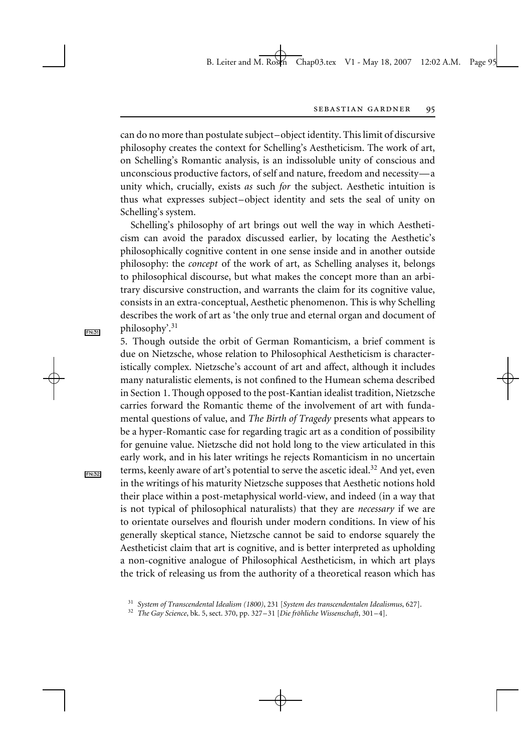$\oplus$ 

can do no more than postulate subject–object identity. This limit of discursive philosophy creates the context for Schelling's Aestheticism. The work of art, on Schelling's Romantic analysis, is an indissoluble unity of conscious and unconscious productive factors, of self and nature, freedom and necessity—a unity which, crucially, exists *as* such *for* the subject. Aesthetic intuition is thus what expresses subject–object identity and sets the seal of unity on Schelling's system.

Schelling's philosophy of art brings out well the way in which Aestheticism can avoid the paradox discussed earlier, by locating the Aesthetic's philosophically cognitive content in one sense inside and in another outside philosophy: the *concept* of the work of art, as Schelling analyses it, belongs to philosophical discourse, but what makes the concept more than an arbitrary discursive construction, and warrants the claim for its cognitive value, consists in an extra-conceptual, Aesthetic phenomenon. This is why Schelling describes the work of art as 'the only true and eternal organ and document of philosophy'.<sup>31</sup> **FN:31**

5. Though outside the orbit of German Romanticism, a brief comment is due on Nietzsche, whose relation to Philosophical Aestheticism is characteristically complex. Nietzsche's account of art and affect, although it includes many naturalistic elements, is not confined to the Humean schema described in Section 1. Though opposed to the post-Kantian idealist tradition, Nietzsche carries forward the Romantic theme of the involvement of art with fundamental questions of value, and *The Birth of Tragedy* presents what appears to be a hyper-Romantic case for regarding tragic art as a condition of possibility for genuine value. Nietzsche did not hold long to the view articulated in this early work, and in his later writings he rejects Romanticism in no uncertain FN:32 terms, keenly aware of art's potential to serve the ascetic ideal.<sup>32</sup> And yet, even in the writings of his maturity Nietzsche supposes that Aesthetic notions hold their place within a post-metaphysical world-view, and indeed (in a way that is not typical of philosophical naturalists) that they are *necessary* if we are to orientate ourselves and flourish under modern conditions. In view of his generally skeptical stance, Nietzsche cannot be said to endorse squarely the Aestheticist claim that art is cognitive, and is better interpreted as upholding a non-cognitive analogue of Philosophical Aestheticism, in which art plays the trick of releasing us from the authority of a theoretical reason which has

 $\bigoplus$ 

<sup>&</sup>lt;sup>31</sup> *System of Transcendental Idealism (1800)*, 231 [*System des transcendentalen Idealismus*, 627].<br><sup>32</sup> *The Gay Science*, bk. 5, sect. 370, pp. 327–31 [*Die fröhliche Wissenschaft*, 301–4].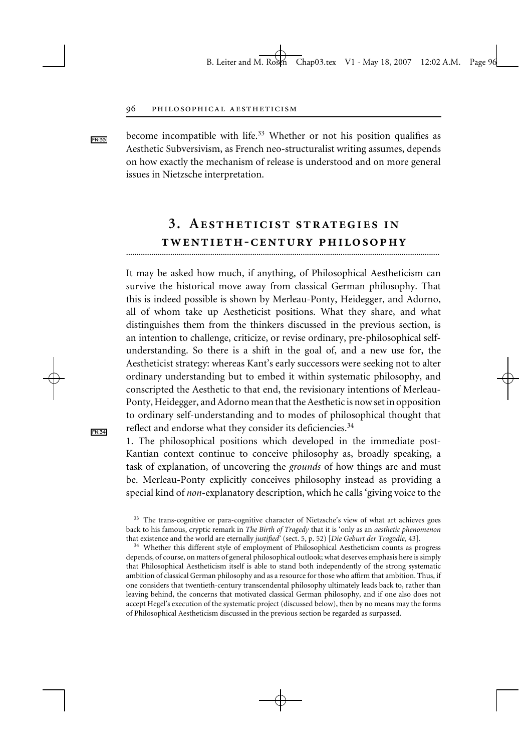#### 96 PHILOSOPHICAL AESTHETICISM

 $F<sub>FN:331</sub>$  become incompatible with life.<sup>33</sup> Whether or not his position qualifies as Aesthetic Subversivism, as French neo-structuralist writing assumes, depends on how exactly the mechanism of release is understood and on more general issues in Nietzsche interpretation.

### **3. Aestheticist strategies in twentieth-century philosophy**

••••••••••••••••••••••••••••••••••••••••••••••••••••••••••••••••••••••••••••••••••••••••••••••••••••••••••••••••••••••••••••••• ••••••••••••••••••••••

 $\oplus$ 

It may be asked how much, if anything, of Philosophical Aestheticism can survive the historical move away from classical German philosophy. That this is indeed possible is shown by Merleau-Ponty, Heidegger, and Adorno, all of whom take up Aestheticist positions. What they share, and what distinguishes them from the thinkers discussed in the previous section, is an intention to challenge, criticize, or revise ordinary, pre-philosophical selfunderstanding. So there is a shift in the goal of, and a new use for, the Aestheticist strategy: whereas Kant's early successors were seeking not to alter ordinary understanding but to embed it within systematic philosophy, and conscripted the Aesthetic to that end, the revisionary intentions of Merleau-Ponty, Heidegger, and Adorno mean that the Aesthetic is now set in opposition to ordinary self-understanding and to modes of philosophical thought that FN:34 **FIGHT** reflect and endorse what they consider its deficiencies.<sup>34</sup>

> 1. The philosophical positions which developed in the immediate post-Kantian context continue to conceive philosophy as, broadly speaking, a task of explanation, of uncovering the *grounds* of how things are and must be. Merleau-Ponty explicitly conceives philosophy instead as providing a special kind of *non*-explanatory description, which he calls 'giving voice to the

 $\bigoplus$ 

<sup>&</sup>lt;sup>33</sup> The trans-cognitive or para-cognitive character of Nietzsche's view of what art achieves goes back to his famous, cryptic remark in *The Birth of Tragedy* that it is 'only as an *aesthetic phenomenon*

that existence and the world are eternally *justified*' (sect. 5, p. 52) [*Die Geburt der Tragodie*, 43].<br><sup>34</sup> Whether this different style of employment of Philosophical Aestheticism counts as progress depends, of course, on matters of general philosophical outlook; what deserves emphasis here is simply that Philosophical Aestheticism itself is able to stand both independently of the strong systematic ambition of classical German philosophy and as a resource for those who affirm that ambition. Thus, if one considers that twentieth-century transcendental philosophy ultimately leads back to, rather than leaving behind, the concerns that motivated classical German philosophy, and if one also does not accept Hegel's execution of the systematic project (discussed below), then by no means may the forms of Philosophical Aestheticism discussed in the previous section be regarded as surpassed.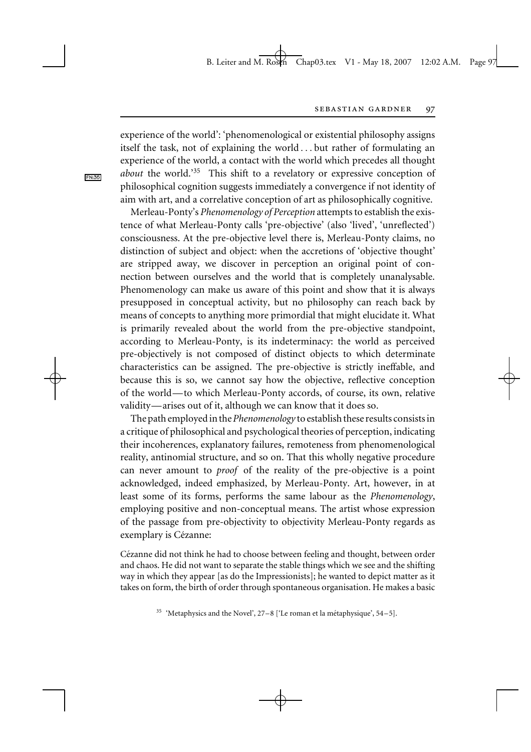$\oplus$ 

experience of the world': 'phenomenological or existential philosophy assigns itself the task, not of explaining the world *...* but rather of formulating an experience of the world, a contact with the world which precedes all thought FN:35 about the world.<sup>35</sup> This shift to a revelatory or expressive conception of philosophical cognition suggests immediately a convergence if not identity of aim with art, and a correlative conception of art as philosophically cognitive.

> Merleau-Ponty's *Phenomenology of Perception* attempts to establish the existence of what Merleau-Ponty calls 'pre-objective' (also 'lived', 'unreflected') consciousness. At the pre-objective level there is, Merleau-Ponty claims, no distinction of subject and object: when the accretions of 'objective thought' are stripped away, we discover in perception an original point of connection between ourselves and the world that is completely unanalysable. Phenomenology can make us aware of this point and show that it is always presupposed in conceptual activity, but no philosophy can reach back by means of concepts to anything more primordial that might elucidate it. What is primarily revealed about the world from the pre-objective standpoint, according to Merleau-Ponty, is its indeterminacy: the world as perceived pre-objectively is not composed of distinct objects to which determinate characteristics can be assigned. The pre-objective is strictly ineffable, and because this is so, we cannot say how the objective, reflective conception of the world—to which Merleau-Ponty accords, of course, its own, relative validity—arises out of it, although we can know that it does so.

> The path employed in the*Phenomenology* to establish these results consists in a critique of philosophical and psychological theories of perception, indicating their incoherences, explanatory failures, remoteness from phenomenological reality, antinomial structure, and so on. That this wholly negative procedure can never amount to *proof* of the reality of the pre-objective is a point acknowledged, indeed emphasized, by Merleau-Ponty. Art, however, in at least some of its forms, performs the same labour as the *Phenomenology*, employing positive and non-conceptual means. The artist whose expression of the passage from pre-objectivity to objectivity Merleau-Ponty regards as exemplary is Cézanne:

> Cézanne did not think he had to choose between feeling and thought, between order and chaos. He did not want to separate the stable things which we see and the shifting way in which they appear [as do the Impressionists]; he wanted to depict matter as it takes on form, the birth of order through spontaneous organisation. He makes a basic

 $\bigoplus$ 

<sup>&</sup>lt;sup>35</sup> 'Metaphysics and the Novel',  $27-8$  ['Le roman et la métaphysique',  $54-5$ ].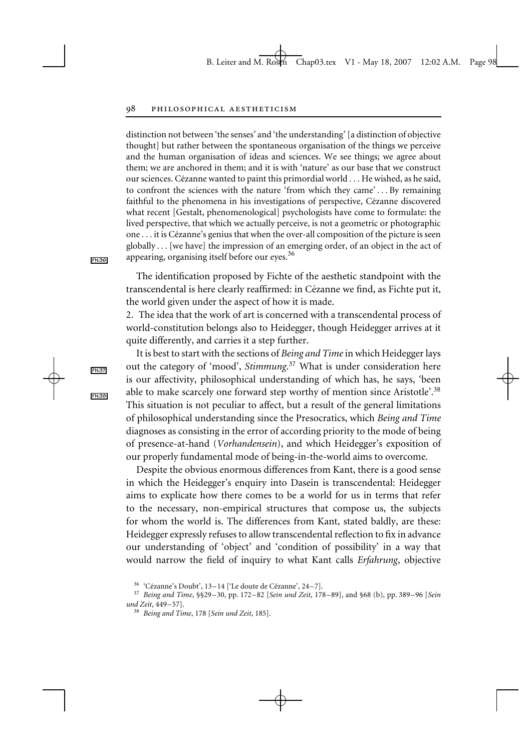#### 98 PHILOSOPHICAL AESTHETICISM

distinction not between 'the senses' and 'the understanding' [a distinction of objective thought] but rather between the spontaneous organisation of the things we perceive and the human organisation of ideas and sciences. We see things; we agree about them; we are anchored in them; and it is with 'nature' as our base that we construct our sciences. Cézanne wanted to paint this primordial world . . . He wished, as he said, to confront the sciences with the nature 'from which they came' *...* By remaining faithful to the phenomena in his investigations of perspective, Cézanne discovered what recent [Gestalt, phenomenological] psychologists have come to formulate: the lived perspective, that which we actually perceive, is not a geometric or photographic one  $\dots$  it is Cézanne's genius that when the over-all composition of the picture is seen globally *...*[we have] the impression of an emerging order, of an object in the act of **EN:36** appearing, organising itself before our eyes.<sup>36</sup>

> The identification proposed by Fichte of the aesthetic standpoint with the transcendental is here clearly reaffirmed: in Cézanne we find, as Fichte put it, the world given under the aspect of how it is made.

> 2. The idea that the work of art is concerned with a transcendental process of world-constitution belongs also to Heidegger, though Heidegger arrives at it quite differently, and carries it a step further.

It is best to start with the sections of *Being and Time*in which Heidegger lays FN:37 **FIN:37** out the category of 'mood', *Stimmung*.<sup>37</sup> What is under consideration here is our affectivity, philosophical understanding of which has, he says, 'been  $F<sub>FN:38</sub>$  able to make scarcely one forward step worthy of mention since Aristotle<sup>'.38</sup> This situation is not peculiar to affect, but a result of the general limitations of philosophical understanding since the Presocratics, which *Being and Time* diagnoses as consisting in the error of according priority to the mode of being of presence-at-hand (*Vorhandensein*), and which Heidegger's exposition of our properly fundamental mode of being-in-the-world aims to overcome.

> Despite the obvious enormous differences from Kant, there is a good sense in which the Heidegger's enquiry into Dasein is transcendental: Heidegger aims to explicate how there comes to be a world for us in terms that refer to the necessary, non-empirical structures that compose us, the subjects for whom the world is. The differences from Kant, stated baldly, are these: Heidegger expressly refuses to allow transcendental reflection to fix in advance our understanding of 'object' and 'condition of possibility' in a way that would narrow the field of inquiry to what Kant calls *Erfahrung*, objective

 $\bigoplus$ 

<sup>&</sup>lt;sup>36</sup> 'Cézanne's Doubt', 13–14 ['Le doute de Cézanne', 24–7].<br><sup>37</sup> *Being and Time*, §§29–30, pp. 172–82 [*Sein und Zeit*, 178–89], and §68 (b), pp. 389–96 [*Sein* und Zeit. 449–57].

<sup>&</sup>lt;sup>38</sup> Being and Time, 178 *[Sein und Zeit*, 185].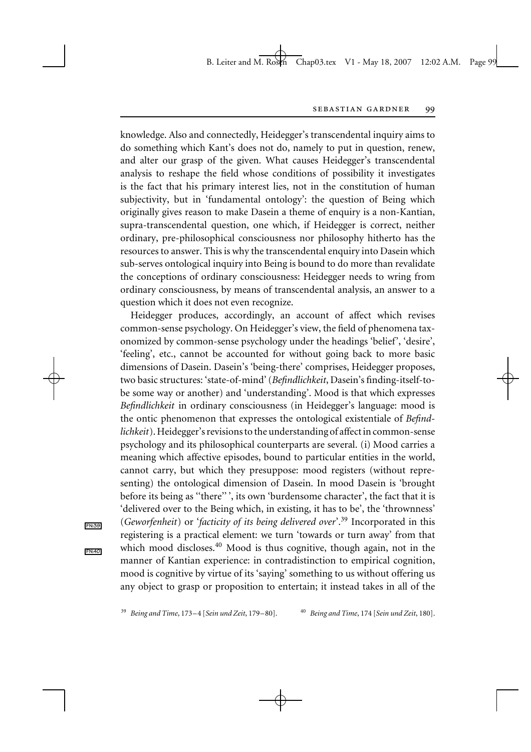knowledge. Also and connectedly, Heidegger's transcendental inquiry aims to do something which Kant's does not do, namely to put in question, renew, and alter our grasp of the given. What causes Heidegger's transcendental analysis to reshape the field whose conditions of possibility it investigates is the fact that his primary interest lies, not in the constitution of human subjectivity, but in 'fundamental ontology': the question of Being which originally gives reason to make Dasein a theme of enquiry is a non-Kantian, supra-transcendental question, one which, if Heidegger is correct, neither ordinary, pre-philosophical consciousness nor philosophy hitherto has the resources to answer. This is why the transcendental enquiry into Dasein which sub-serves ontological inquiry into Being is bound to do more than revalidate the conceptions of ordinary consciousness: Heidegger needs to wring from ordinary consciousness, by means of transcendental analysis, an answer to a question which it does not even recognize.

Heidegger produces, accordingly, an account of affect which revises common-sense psychology. On Heidegger's view, the field of phenomena taxonomized by common-sense psychology under the headings 'belief', 'desire', 'feeling', etc., cannot be accounted for without going back to more basic dimensions of Dasein. Dasein's 'being-there' comprises, Heidegger proposes, two basic structures: 'state-of-mind' (*Befindlichkeit*, Dasein's finding-itself-tobe some way or another) and 'understanding'. Mood is that which expresses *Befindlichkeit* in ordinary consciousness (in Heidegger's language: mood is the ontic phenomenon that expresses the ontological existentiale of *Befindlichkeit*). Heidegger's revisions to the understanding of affect in common-sense psychology and its philosophical counterparts are several. (i) Mood carries a meaning which affective episodes, bound to particular entities in the world, cannot carry, but which they presuppose: mood registers (without representing) the ontological dimension of Dasein. In mood Dasein is 'brought before its being as ''there'' ', its own 'burdensome character', the fact that it is 'delivered over to the Being which, in existing, it has to be', the 'thrownness' (*Geworfenheit*) or '*facticity of its being delivered over*'.<sup>39</sup> Incorporated in this **FN:39** registering is a practical element: we turn 'towards or turn away' from that FN:40 which mood discloses.<sup>40</sup> Mood is thus cognitive, though again, not in the manner of Kantian experience: in contradistinction to empirical cognition, mood is cognitive by virtue of its 'saying' something to us without offering us any object to grasp or proposition to entertain; it instead takes in all of the

 $\bigoplus$ 

<sup>39</sup> *Being and Time*, 173–4 [*Sein und Zeit*, 179–80]. <sup>40</sup> *Being and Time*, 174 [*Sein und Zeit*, 180].

 $\oplus$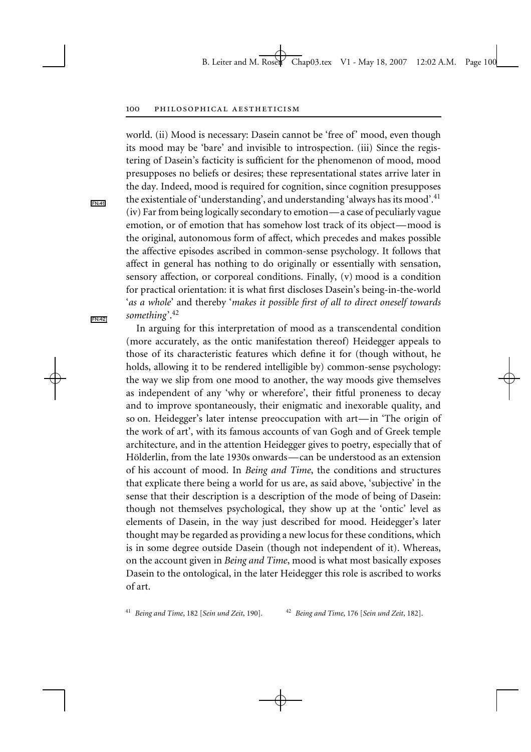#### 100 PHILOSOPHICAL AESTHETICISM

world. (ii) Mood is necessary: Dasein cannot be 'free of' mood, even though its mood may be 'bare' and invisible to introspection. (iii) Since the registering of Dasein's facticity is sufficient for the phenomenon of mood, mood presupposes no beliefs or desires; these representational states arrive later in the day. Indeed, mood is required for cognition, since cognition presupposes the existentiale of 'understanding', and understanding 'always has its mood'.<sup>41</sup> (iv) Far from being logically secondary to emotion—a case of peculiarly vague emotion, or of emotion that has somehow lost track of its object—mood is the original, autonomous form of affect, which precedes and makes possible the affective episodes ascribed in common-sense psychology. It follows that affect in general has nothing to do originally or essentially with sensation, sensory affection, or corporeal conditions. Finally, (v) mood is a condition for practical orientation: it is what first discloses Dasein's being-in-the-world '*as a whole*' and thereby '*makes it possible first of all to direct oneself towards something*'.<sup>42</sup> **FN:42**

> In arguing for this interpretation of mood as a transcendental condition (more accurately, as the ontic manifestation thereof) Heidegger appeals to those of its characteristic features which define it for (though without, he holds, allowing it to be rendered intelligible by) common-sense psychology: the way we slip from one mood to another, the way moods give themselves as independent of any 'why or wherefore', their fitful proneness to decay and to improve spontaneously, their enigmatic and inexorable quality, and so on. Heidegger's later intense preoccupation with art—in 'The origin of the work of art', with its famous accounts of van Gogh and of Greek temple architecture, and in the attention Heidegger gives to poetry, especially that of Hölderlin, from the late 1930s onwards—can be understood as an extension of his account of mood. In *Being and Time*, the conditions and structures that explicate there being a world for us are, as said above, 'subjective' in the sense that their description is a description of the mode of being of Dasein: though not themselves psychological, they show up at the 'ontic' level as elements of Dasein, in the way just described for mood. Heidegger's later thought may be regarded as providing a new locus for these conditions, which is in some degree outside Dasein (though not independent of it). Whereas, on the account given in *Being and Time*, mood is what most basically exposes Dasein to the ontological, in the later Heidegger this role is ascribed to works of art.

> > $\bigoplus$

<sup>41</sup> *Being and Time*, 182 [*Sein und Zeit*, 190]. <sup>42</sup> *Being and Time*, 176 [*Sein und Zeit*, 182].

 $\oplus$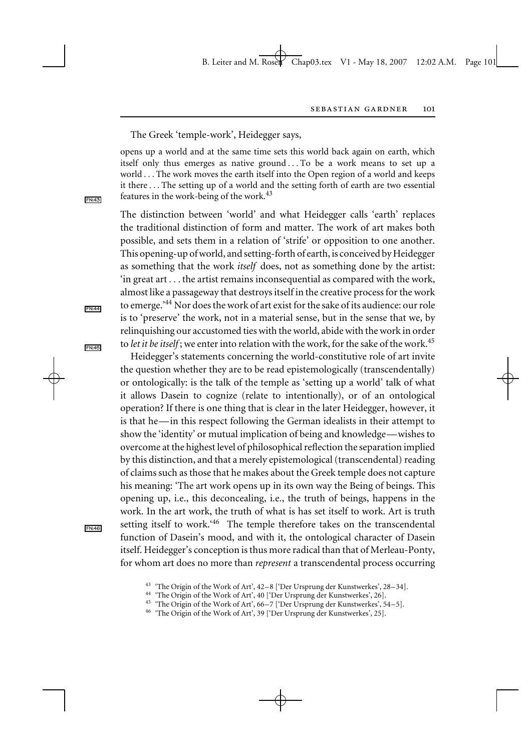$\oplus$ 

The Greek 'temple-work', Heidegger says,

opens up a world and at the same time sets this world back again on earth, which itself only thus emerges as native ground *...* To be a work means to set up a world *...* The work moves the earth itself into the Open region of a world and keeps it there *...* The setting up of a world and the setting forth of earth are two essential  $F<sub>IN:43</sub>$  features in the work-being of the work.<sup>43</sup>

The distinction between 'world' and what Heidegger calls 'earth' replaces the traditional distinction of form and matter. The work of art makes both possible, and sets them in a relation of 'strife' or opposition to one another. This opening-up of world, and setting-forth of earth, is conceived by Heidegger as something that the work *itself* does, not as something done by the artist: 'in great art *...* the artist remains inconsequential as compared with the work, almost like a passageway that destroys itself in the creative process for the work to emerge.<sup>'44</sup> Nor does the work of art exist for the sake of its audience: our role is to 'preserve' the work, not in a material sense, but in the sense that we, by relinquishing our accustomed ties with the world, abide with the work in order  $\frac{1}{\text{FN45}}$  to *let it be itself*; we enter into relation with the work, for the sake of the work.<sup>45</sup>

Heidegger's statements concerning the world-constitutive role of art invite the question whether they are to be read epistemologically (transcendentally) or ontologically: is the talk of the temple as 'setting up a world' talk of what it allows Dasein to cognize (relate to intentionally), or of an ontological operation? If there is one thing that is clear in the later Heidegger, however, it is that he—in this respect following the German idealists in their attempt to show the 'identity' or mutual implication of being and knowledge—wishes to overcome at the highest level of philosophical reflection the separation implied by this distinction, and that a merely epistemological (transcendental) reading of claims such as those that he makes about the Greek temple does not capture his meaning: 'The art work opens up in its own way the Being of beings. This opening up, i.e., this deconcealing, i.e., the truth of beings, happens in the work. In the art work, the truth of what is has set itself to work. Art is truth **FN:46** setting itself to work.<sup>46</sup> The temple therefore takes on the transcendental function of Dasein's mood, and with it, the ontological character of Dasein itself. Heidegger's conception is thus more radical than that of Merleau-Ponty, for whom art does no more than *represent* a transcendental process occurring

 $\bigoplus$ 



<sup>&</sup>lt;sup>43</sup> 'The Origin of the Work of Art', 42–8 ['Der Ursprung der Kunstwerkes', 28–34].<br><sup>44</sup> 'The Origin of the Work of Art', 40 ['Der Ursprung der Kunstwerkes', 26].<br><sup>45</sup> 'The Origin of the Work of Art', 66–7 ['Der Ursprung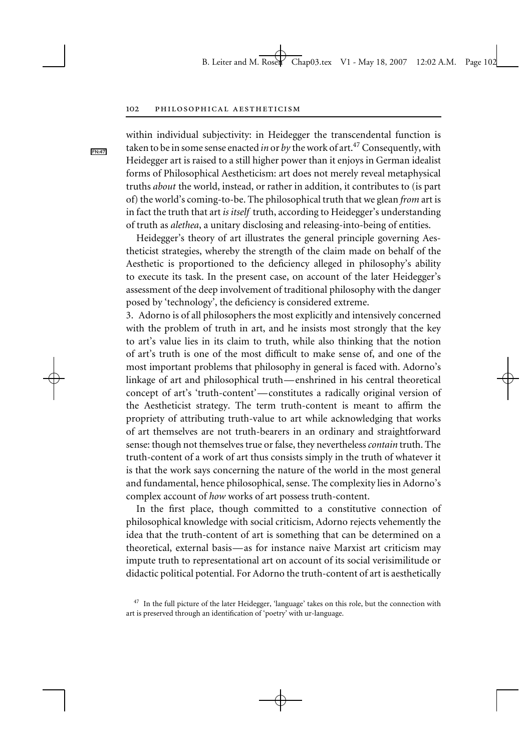#### philosophical aestheticism

 $\oplus$ 

within individual subjectivity: in Heidegger the transcendental function is taken to be in some sense enacted *in* or *by* the work of art.<sup>47</sup> Consequently, with Heidegger art is raised to a still higher power than it enjoys in German idealist forms of Philosophical Aestheticism: art does not merely reveal metaphysical truths *about* the world, instead, or rather in addition, it contributes to (is part of) the world's coming-to-be. The philosophical truth that we glean *from* art is in fact the truth that art *is itself* truth, according to Heidegger's understanding of truth as *alethea*, a unitary disclosing and releasing-into-being of entities.

> Heidegger's theory of art illustrates the general principle governing Aestheticist strategies, whereby the strength of the claim made on behalf of the Aesthetic is proportioned to the deficiency alleged in philosophy's ability to execute its task. In the present case, on account of the later Heidegger's assessment of the deep involvement of traditional philosophy with the danger posed by 'technology', the deficiency is considered extreme.

> 3. Adorno is of all philosophers the most explicitly and intensively concerned with the problem of truth in art, and he insists most strongly that the key to art's value lies in its claim to truth, while also thinking that the notion of art's truth is one of the most difficult to make sense of, and one of the most important problems that philosophy in general is faced with. Adorno's linkage of art and philosophical truth—enshrined in his central theoretical concept of art's 'truth-content'—constitutes a radically original version of the Aestheticist strategy. The term truth-content is meant to affirm the propriety of attributing truth-value to art while acknowledging that works of art themselves are not truth-bearers in an ordinary and straightforward sense: though not themselves true or false, they nevertheless *contain* truth. The truth-content of a work of art thus consists simply in the truth of whatever it is that the work says concerning the nature of the world in the most general and fundamental, hence philosophical, sense. The complexity lies in Adorno's complex account of *how* works of art possess truth-content.

> In the first place, though committed to a constitutive connection of philosophical knowledge with social criticism, Adorno rejects vehemently the idea that the truth-content of art is something that can be determined on a theoretical, external basis—as for instance naive Marxist art criticism may impute truth to representational art on account of its social verisimilitude or didactic political potential. For Adorno the truth-content of art is aesthetically

 $47$  In the full picture of the later Heidegger, 'language' takes on this role, but the connection with art is preserved through an identification of 'poetry' with ur-language.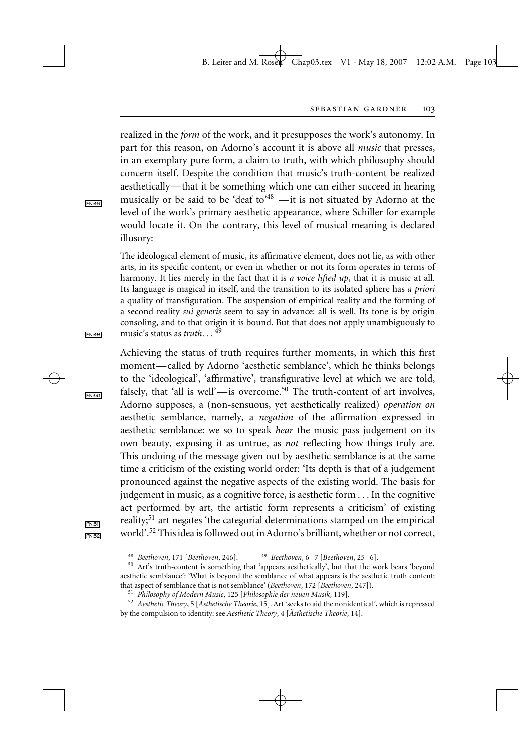$\oplus$ 

realized in the *form* of the work, and it presupposes the work's autonomy. In part for this reason, on Adorno's account it is above all *music* that presses, in an exemplary pure form, a claim to truth, with which philosophy should concern itself. Despite the condition that music's truth-content be realized aesthetically—that it be something which one can either succeed in hearing musically or be said to be 'deaf to'<sup>48</sup> —it is not situated by Adorno at the level of the work's primary aesthetic appearance, where Schiller for example would locate it. On the contrary, this level of musical meaning is declared illusory:

The ideological element of music, its affirmative element, does not lie, as with other arts, in its specific content, or even in whether or not its form operates in terms of harmony. It lies merely in the fact that it is *a voice lifted up*, that it is music at all. Its language is magical in itself, and the transition to its isolated sphere has *a priori* a quality of transfiguration. The suspension of empirical reality and the forming of a second reality *sui generis* seem to say in advance: all is well. Its tone is by origin consoling, and to that origin it is bound. But that does not apply unambiguously to music's status as *truth...* <sup>49</sup> **FN:49**

Achieving the status of truth requires further moments, in which this first moment—called by Adorno 'aesthetic semblance', which he thinks belongs to the 'ideological', 'affirmative', transfigurative level at which we are told,  $F<sub>NS0</sub>$  falsely, that 'all is well'—is overcome.<sup>50</sup> The truth-content of art involves, Adorno supposes, a (non-sensuous, yet aesthetically realized) *operation on* aesthetic semblance, namely, a *negation* of the affirmation expressed in aesthetic semblance: we so to speak *hear* the music pass judgement on its own beauty, exposing it as untrue, as *not* reflecting how things truly are. This undoing of the message given out by aesthetic semblance is at the same time a criticism of the existing world order: 'Its depth is that of a judgement pronounced against the negative aspects of the existing world. The basis for judgement in music, as a cognitive force, is aesthetic form *...* In the cognitive act performed by art, the artistic form represents a criticism' of existing  $F<sub>RE51</sub>$  reality;<sup>51</sup> art negates 'the categorial determinations stamped on the empirical **FN:52** world'.<sup>52</sup> This idea is followed out in Adorno's brilliant, whether or not correct,

 $\bigoplus$ 

<sup>48</sup> *Beethoven*, 171 [*Beethoven*, 246]. <sup>49</sup> *Beethoven*, 6–7 [*Beethoven*, 25–6]. <sup>50</sup> Art's truth-content is something that 'appears aesthetically', but that the work bears 'beyond aesthetic semblance': 'What is beyond the semblance of what appears is the aesthetic truth content: that aspect of semblance that is not semblance' (*Beethoven*, 172 [*Beethoven*, 247]). <sup>51</sup> *Philosophy of Modern Music*, 125 [*Philosophie der neuen Musik*, 119].

<sup>&</sup>lt;sup>52</sup> Aesthetic Theory, 5 [Ästhetische Theorie, 15]. Art 'seeks to aid the nonidentical', which is repressed by the compulsion to identity: see *Aesthetic Theory*, 4 [*Asthetische Theorie*, 14].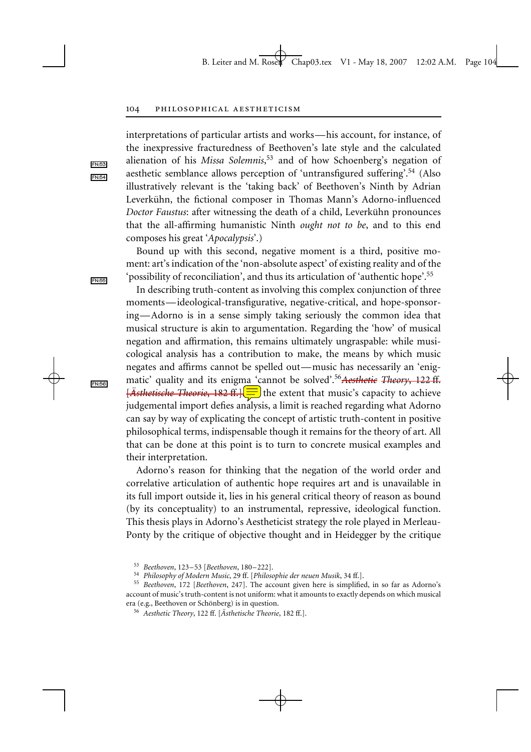#### philosophical aestheticism

interpretations of particular artists and works—his account, for instance, of the inexpressive fracturedness of Beethoven's late style and the calculated alienation of his *Missa Solemnis*, <sup>53</sup> and of how Schoenberg's negation of **FN:53** and antenation of his *Missa Solemnis*, and of how Schoenberg's negation of aesthetic semblance allows perception of 'untransfigured suffering'.<sup>54</sup> (Also illustratively relevant is the 'taking back' of Beethoven's Ninth by Adrian Leverkühn, the fictional composer in Thomas Mann's Adorno-influenced *Doctor Faustus*: after witnessing the death of a child, Leverkühn pronounces that the all-affirming humanistic Ninth *ought not to be*, and to this end composes his great '*Apocalypsis*'.)

Bound up with this second, negative moment is a third, positive moment: art's indication of the 'non-absolute aspect' of existing reality and of the FN:55 <sup>'</sup> possibility of reconciliation', and thus its articulation of 'authentic hope'.<sup>55</sup>

In describing truth-content as involving this complex conjunction of three moments—ideological-transfigurative, negative-critical, and hope-sponsoring—Adorno is in a sense simply taking seriously the common idea that musical structure is akin to argumentation. Regarding the 'how' of musical negation and affirmation, this remains ultimately ungraspable: while musicological analysis has a contribution to make, the means by which music negates and affirms cannot be spelled out—music has necessarily an 'enig-FN<sub>IS6</sub> matic' quality and its enigma 'cannot be solved'.<sup>56</sup>Aesthetic Theory, 122 ff. [*Asthetische Theorie*, 182 ff.]] the extent that music's capacity to achieve judgemental import defies analysis, a limit is reached regarding what Adorno can say by way of explicating the concept of artistic truth-content in positive philosophical terms, indispensable though it remains for the theory of art. All that can be done at this point is to turn to concrete musical examples and their interpretation.

> Adorno's reason for thinking that the negation of the world order and correlative articulation of authentic hope requires art and is unavailable in its full import outside it, lies in his general critical theory of reason as bound (by its conceptuality) to an instrumental, repressive, ideological function. This thesis plays in Adorno's Aestheticist strategy the role played in Merleau-Ponty by the critique of objective thought and in Heidegger by the critique

 $\bigoplus$ 

<sup>&</sup>lt;sup>53</sup> Beethoven, 123–53 [Beethoven, 180–222].<br><sup>54</sup> Philosophy of Modern Music, 29 ff. [Philosophie der neuen Musik, 34 ff.].<br><sup>55</sup> Beethoven, 172 [Beethoven, 247]. The account given here is simplified, in so far as Adorno's account of music's truth-content is not uniform: what it amounts to exactly depends on which musical era (e.g., Beethoven or Schönberg) is in question.

<sup>56</sup> Aesthetic Theory, 122 ff. [Ästhetische Theorie, 182 ff.].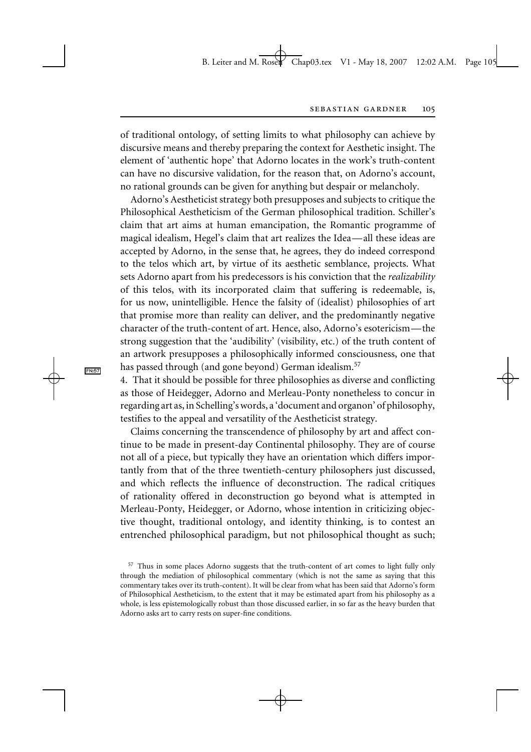$\oplus$ 

of traditional ontology, of setting limits to what philosophy can achieve by discursive means and thereby preparing the context for Aesthetic insight. The element of 'authentic hope' that Adorno locates in the work's truth-content can have no discursive validation, for the reason that, on Adorno's account, no rational grounds can be given for anything but despair or melancholy.

Adorno's Aestheticist strategy both presupposes and subjects to critique the Philosophical Aestheticism of the German philosophical tradition. Schiller's claim that art aims at human emancipation, the Romantic programme of magical idealism, Hegel's claim that art realizes the Idea—all these ideas are accepted by Adorno, in the sense that, he agrees, they do indeed correspond to the telos which art, by virtue of its aesthetic semblance, projects. What sets Adorno apart from his predecessors is his conviction that the *realizability* of this telos, with its incorporated claim that suffering is redeemable, is, for us now, unintelligible. Hence the falsity of (idealist) philosophies of art that promise more than reality can deliver, and the predominantly negative character of the truth-content of art. Hence, also, Adorno's esotericism—the strong suggestion that the 'audibility' (visibility, etc.) of the truth content of an artwork presupposes a philosophically informed consciousness, one that FN:57 has passed through (and gone beyond) German idealism.<sup>57</sup>

> 4. That it should be possible for three philosophies as diverse and conflicting as those of Heidegger, Adorno and Merleau-Ponty nonetheless to concur in regarding art as, in Schelling's words, a 'document and organon' of philosophy, testifies to the appeal and versatility of the Aestheticist strategy.

 $\oplus$ 

Claims concerning the transcendence of philosophy by art and affect continue to be made in present-day Continental philosophy. They are of course not all of a piece, but typically they have an orientation which differs importantly from that of the three twentieth-century philosophers just discussed, and which reflects the influence of deconstruction. The radical critiques of rationality offered in deconstruction go beyond what is attempted in Merleau-Ponty, Heidegger, or Adorno, whose intention in criticizing objective thought, traditional ontology, and identity thinking, is to contest an entrenched philosophical paradigm, but not philosophical thought as such;

<sup>&</sup>lt;sup>57</sup> Thus in some places Adorno suggests that the truth-content of art comes to light fully only through the mediation of philosophical commentary (which is not the same as saying that this commentary takes over its truth-content). It will be clear from what has been said that Adorno's form of Philosophical Aestheticism, to the extent that it may be estimated apart from his philosophy as a whole, is less epistemologically robust than those discussed earlier, in so far as the heavy burden that Adorno asks art to carry rests on super-fine conditions.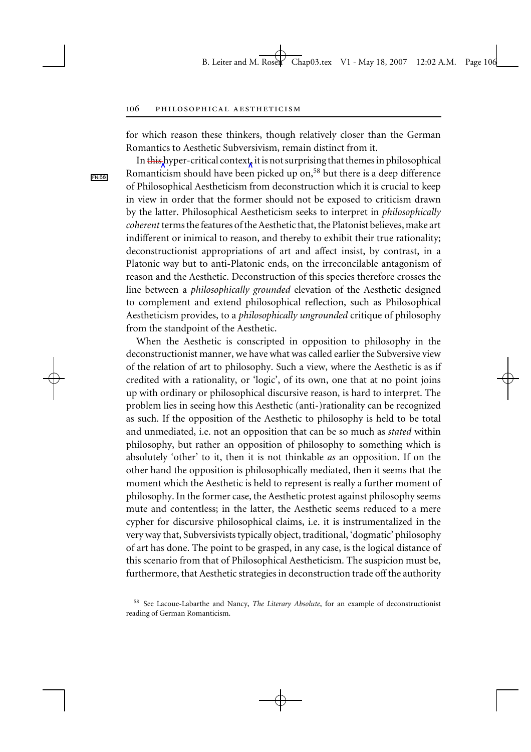#### philosophical aestheticism

 $\oplus$ 

for which reason these thinkers, though relatively closer than the German Romantics to Aesthetic Subversivism, remain distinct from it.

In this hyper-critical context, it is not surprising that themes in philosophical **Romanticism should have been picked up on,<sup>58</sup> but there is a deep difference** of Philosophical Aestheticism from deconstruction which it is crucial to keep in view in order that the former should not be exposed to criticism drawn by the latter. Philosophical Aestheticism seeks to interpret in *philosophically coherent* terms the features of the Aesthetic that, the Platonist believes, make art indifferent or inimical to reason, and thereby to exhibit their true rationality; deconstructionist appropriations of art and affect insist, by contrast, in a Platonic way but to anti-Platonic ends, on the irreconcilable antagonism of reason and the Aesthetic. Deconstruction of this species therefore crosses the line between a *philosophically grounded* elevation of the Aesthetic designed to complement and extend philosophical reflection, such as Philosophical Aestheticism provides, to a *philosophically ungrounded* critique of philosophy from the standpoint of the Aesthetic.

> When the Aesthetic is conscripted in opposition to philosophy in the deconstructionist manner, we have what was called earlier the Subversive view of the relation of art to philosophy. Such a view, where the Aesthetic is as if credited with a rationality, or 'logic', of its own, one that at no point joins up with ordinary or philosophical discursive reason, is hard to interpret. The problem lies in seeing how this Aesthetic (anti-)rationality can be recognized as such. If the opposition of the Aesthetic to philosophy is held to be total and unmediated, i.e. not an opposition that can be so much as *stated* within philosophy, but rather an opposition of philosophy to something which is absolutely 'other' to it, then it is not thinkable *as* an opposition. If on the other hand the opposition is philosophically mediated, then it seems that the moment which the Aesthetic is held to represent is really a further moment of philosophy. In the former case, the Aesthetic protest against philosophy seems mute and contentless; in the latter, the Aesthetic seems reduced to a mere cypher for discursive philosophical claims, i.e. it is instrumentalized in the very way that, Subversivists typically object, traditional, 'dogmatic' philosophy of art has done. The point to be grasped, in any case, is the logical distance of this scenario from that of Philosophical Aestheticism. The suspicion must be, furthermore, that Aesthetic strategies in deconstruction trade off the authority

<sup>58</sup> See Lacoue-Labarthe and Nancy, *The Literary Absolute*, for an example of deconstructionist reading of German Romanticism.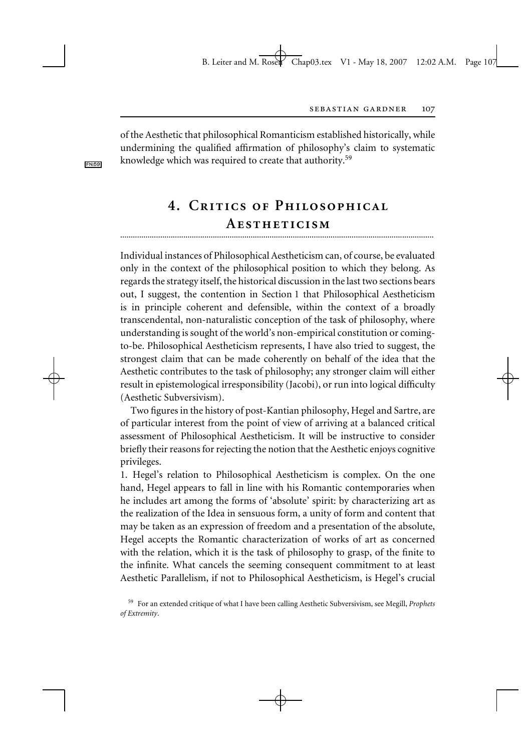of the Aesthetic that philosophical Romanticism established historically, while undermining the qualified affirmation of philosophy's claim to systematic **knowledge which was required to create that authority.**<sup>59</sup>

# **4. Critics of Philosophical Aestheticism**

••••••••••••••••••••••••••••••••••••••••••••••••••••••••••••••••••••••••••••••••••••••••••••••••••••••••••••••••••••••••••••••• ••••••••••••••••••••••

Individual instances of Philosophical Aestheticism can, of course, be evaluated only in the context of the philosophical position to which they belong. As regards the strategy itself, the historical discussion in the last two sections bears out, I suggest, the contention in Section 1 that Philosophical Aestheticism is in principle coherent and defensible, within the context of a broadly transcendental, non-naturalistic conception of the task of philosophy, where understanding is sought of the world's non-empirical constitution or comingto-be. Philosophical Aestheticism represents, I have also tried to suggest, the strongest claim that can be made coherently on behalf of the idea that the Aesthetic contributes to the task of philosophy; any stronger claim will either result in epistemological irresponsibility (Jacobi), or run into logical difficulty (Aesthetic Subversivism).

Two figures in the history of post-Kantian philosophy, Hegel and Sartre, are of particular interest from the point of view of arriving at a balanced critical assessment of Philosophical Aestheticism. It will be instructive to consider briefly their reasons for rejecting the notion that the Aesthetic enjoys cognitive privileges.

1. Hegel's relation to Philosophical Aestheticism is complex. On the one hand, Hegel appears to fall in line with his Romantic contemporaries when he includes art among the forms of 'absolute' spirit: by characterizing art as the realization of the Idea in sensuous form, a unity of form and content that may be taken as an expression of freedom and a presentation of the absolute, Hegel accepts the Romantic characterization of works of art as concerned with the relation, which it is the task of philosophy to grasp, of the finite to the infinite. What cancels the seeming consequent commitment to at least Aesthetic Parallelism, if not to Philosophical Aestheticism, is Hegel's crucial

<sup>59</sup> For an extended critique of what I have been calling Aesthetic Subversivism, see Megill, *Prophets of Extremity*.

 $\bigoplus$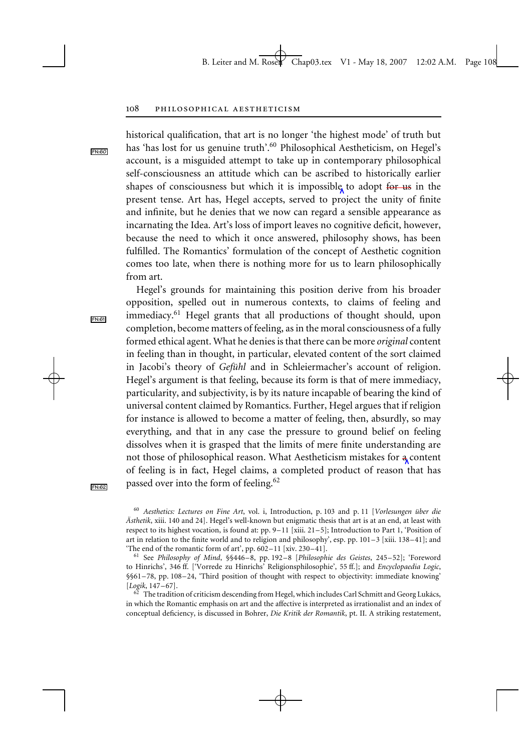#### 108 PHILOSOPHICAL AESTHETICISM

 $\oplus$ 

historical qualification, that art is no longer 'the highest mode' of truth but has 'has lost for us genuine truth'.60 Philosophical Aestheticism, on Hegel's **FN:60** account, is a misguided attempt to take up in contemporary philosophical self-consciousness an attitude which can be ascribed to historically earlier shapes of consciousness but which it is impossible to adopt for us in the present tense. Art has, Hegel accepts, served to project the unity of finite and infinite, but he denies that we now can regard a sensible appearance as incarnating the Idea. Art's loss of import leaves no cognitive deficit, however, because the need to which it once answered, philosophy shows, has been fulfilled. The Romantics' formulation of the concept of Aesthetic cognition comes too late, when there is nothing more for us to learn philosophically from art.

Hegel's grounds for maintaining this position derive from his broader opposition, spelled out in numerous contexts, to claims of feeling and FN:61 immediacy.<sup>61</sup> Hegel grants that all productions of thought should, upon completion, become matters of feeling, as in the moral consciousness of a fully formed ethical agent. What he denies is that there can be more *original* content in feeling than in thought, in particular, elevated content of the sort claimed in Jacobi's theory of *Gefühl* and in Schleiermacher's account of religion. Hegel's argument is that feeling, because its form is that of mere immediacy, particularity, and subjectivity, is by its nature incapable of bearing the kind of universal content claimed by Romantics. Further, Hegel argues that if religion for instance is allowed to become a matter of feeling, then, absurdly, so may everything, and that in any case the pressure to ground belief on feeling dissolves when it is grasped that the limits of mere finite understanding are not those of philosophical reason. What Aestheticism mistakes for a content of feeling is in fact, Hegel claims, a completed product of reason that has **passed over into the form of feeling.**<sup>62</sup>

in which the Romantic emphasis on art and the affective is interpreted as irrationalist and an index of conceptual deficiency, is discussed in Bohrer, *Die Kritik der Romantik*, pt. II. A striking restatement,

<sup>60</sup> *Aesthetics: Lectures on Fine Art*, vol. i, Introduction, p. 103 and p. 11 [*Vorlesungen uber die ¨* Ästhetik, xiii. 140 and 24]. Hegel's well-known but enigmatic thesis that art is at an end, at least with respect to its highest vocation, is found at: pp. 9–11 [xiii. 21–5]; Introduction to Part 1, 'Position of art in relation to the finite world and to religion and philosophy', esp. pp. 101–3 [xiii. 138–41]; and

<sup>&#</sup>x27;The end of the romantic form of art', pp. 602–11 [xiv. 230–41]. <sup>61</sup> See *Philosophy of Mind*, §§446–8, pp. 192–8 [*Philosophie des Geistes*, 245–52]; 'Foreword to Hinrichs', 346 ff. ['Vorrede zu Hinrichs' Religionsphilosophie', 55 ff.]; and *Encyclopaedia Logic*, §§61–78, pp. 108–24, 'Third position of thought with respect to objectivity: immediate knowing' [*Logik*, 147–67]. <sup>62</sup> The tradition of criticism descending from Hegel, which includes Carl Schmitt and Georg Lukacs, ´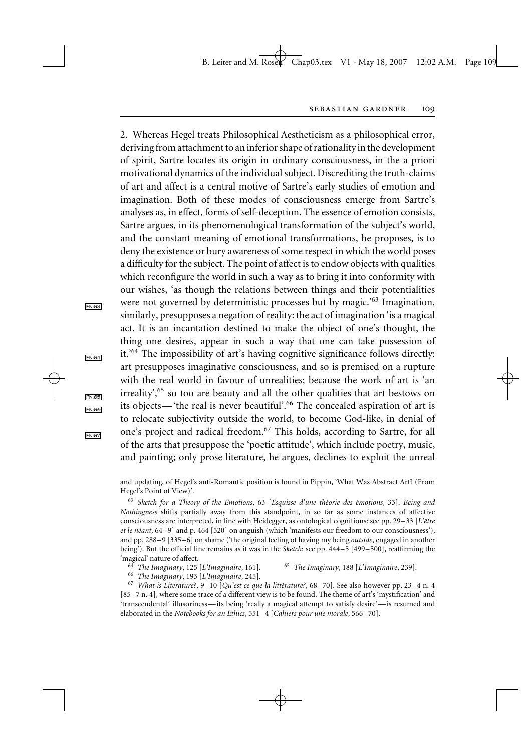$\oplus$ 

2. Whereas Hegel treats Philosophical Aestheticism as a philosophical error, deriving from attachment to an inferior shape of rationality in the development of spirit, Sartre locates its origin in ordinary consciousness, in the a priori motivational dynamics of the individual subject. Discrediting the truth-claims of art and affect is a central motive of Sartre's early studies of emotion and imagination. Both of these modes of consciousness emerge from Sartre's analyses as, in effect, forms of self-deception. The essence of emotion consists, Sartre argues, in its phenomenological transformation of the subject's world, and the constant meaning of emotional transformations, he proposes, is to deny the existence or bury awareness of some respect in which the world poses a difficulty for the subject. The point of affect is to endow objects with qualities which reconfigure the world in such a way as to bring it into conformity with our wishes, 'as though the relations between things and their potentialities FN:63 were not governed by deterministic processes but by magic.<sup>'63</sup> Imagination, similarly, presupposes a negation of reality: the act of imagination 'is a magical act. It is an incantation destined to make the object of one's thought, the thing one desires, appear in such a way that one can take possession of FINIGA it.<sup>264</sup> The impossibility of art's having cognitive significance follows directly: art presupposes imaginative consciousness, and so is premised on a rupture with the real world in favour of unrealities; because the work of art is 'an  $F<sub>IN:65</sub>$  irreality<sup>'</sup>,<sup>65</sup> so too are beauty and all the other qualities that art bestows on its objects—'the real is never beautiful'.<sup>66</sup> The concealed aspiration of art is to relocate subjectivity outside the world, to become God-like, in denial of FRIGT 0ne's project and radical freedom.<sup>67</sup> This holds, according to Sartre, for all of the arts that presuppose the 'poetic attitude', which include poetry, music, and painting; only prose literature, he argues, declines to exploit the unreal

> and updating, of Hegel's anti-Romantic position is found in Pippin, 'What Was Abstract Art? (From Hegel's Point of View)'.

> <sup>63</sup> *Sketch for a Theory of the Emotions*, 63 [*Esquisse d'une th´eorie des ´emotions*, 33]. *Being and Nothingness* shifts partially away from this standpoint, in so far as some instances of affective consciousness are interpreted, in line with Heidegger, as ontological cognitions: see pp. 29–33 [*L'être et le n´eant*, 64–9] and p. 464 [520] on anguish (which 'manifests our freedom to our consciousness'), and pp. 288–9 [335–6] on shame ('the original feeling of having my being *outside*, engaged in another being'). But the official line remains as it was in the *Sketch*: see pp. 444–5 [499–500], reaffirming the

 $\oplus$ 

'magical' nature of affect.<br>
<sup>64</sup> The Imaginary, 125 [L'Imaginaire, 161].<br>
<sup>65</sup> The Imaginary, 188 [L'Imaginaire, 239].<br>
<sup>66</sup> The Imaginary, 193 [L'Imaginaire, 245].<br>
<sup>67</sup> What is Literature?, 9–10 [Qu'est ce que la litté [85–7 n. 4], where some trace of a different view is to be found. The theme of art's 'mystification' and 'transcendental' illusoriness—its being 'really a magical attempt to satisfy desire'—is resumed and elaborated in the *Notebooks for an Ethics*, 551–4 [*Cahiers pour une morale*, 566–70].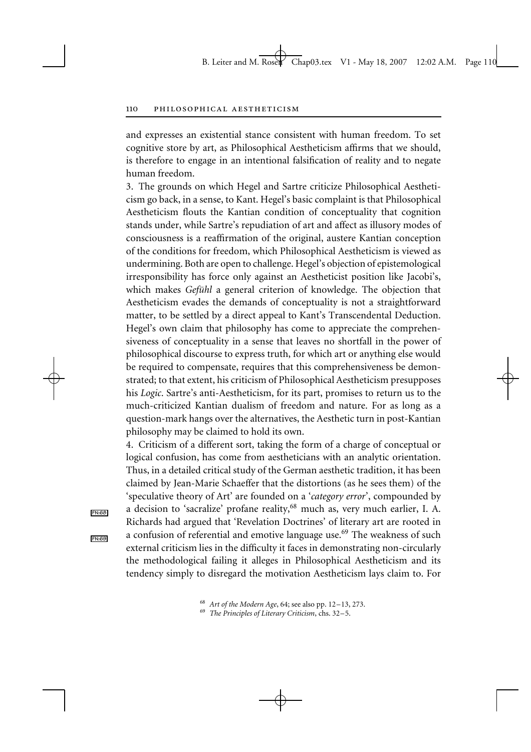#### philosophical aestheticism

and expresses an existential stance consistent with human freedom. To set cognitive store by art, as Philosophical Aestheticism affirms that we should, is therefore to engage in an intentional falsification of reality and to negate human freedom.

3. The grounds on which Hegel and Sartre criticize Philosophical Aestheticism go back, in a sense, to Kant. Hegel's basic complaint is that Philosophical Aestheticism flouts the Kantian condition of conceptuality that cognition stands under, while Sartre's repudiation of art and affect as illusory modes of consciousness is a reaffirmation of the original, austere Kantian conception of the conditions for freedom, which Philosophical Aestheticism is viewed as undermining. Both are open to challenge. Hegel's objection of epistemological irresponsibility has force only against an Aestheticist position like Jacobi's, which makes *Gefühl* a general criterion of knowledge. The objection that Aestheticism evades the demands of conceptuality is not a straightforward matter, to be settled by a direct appeal to Kant's Transcendental Deduction. Hegel's own claim that philosophy has come to appreciate the comprehensiveness of conceptuality in a sense that leaves no shortfall in the power of philosophical discourse to express truth, for which art or anything else would be required to compensate, requires that this comprehensiveness be demonstrated; to that extent, his criticism of Philosophical Aestheticism presupposes his *Logic*. Sartre's anti-Aestheticism, for its part, promises to return us to the much-criticized Kantian dualism of freedom and nature. For as long as a question-mark hangs over the alternatives, the Aesthetic turn in post-Kantian philosophy may be claimed to hold its own.

4. Criticism of a different sort, taking the form of a charge of conceptual or logical confusion, has come from aestheticians with an analytic orientation. Thus, in a detailed critical study of the German aesthetic tradition, it has been claimed by Jean-Marie Schaeffer that the distortions (as he sees them) of the 'speculative theory of Art' are founded on a '*category error*', compounded by FN:68 a decision to 'sacralize' profane reality,<sup>68</sup> much as, very much earlier, I. A. Richards had argued that 'Revelation Doctrines' of literary art are rooted in a confusion of referential and emotive language use.<sup>69</sup> **FN:69** The weakness of such external criticism lies in the difficulty it faces in demonstrating non-circularly the methodological failing it alleges in Philosophical Aestheticism and its tendency simply to disregard the motivation Aestheticism lays claim to. For

<sup>68</sup> *Art of the Modern Age*, 64; see also pp. 12–13, 273. <sup>69</sup> *The Principles of Literary Criticism*, chs. 32–5.

 $\bigoplus$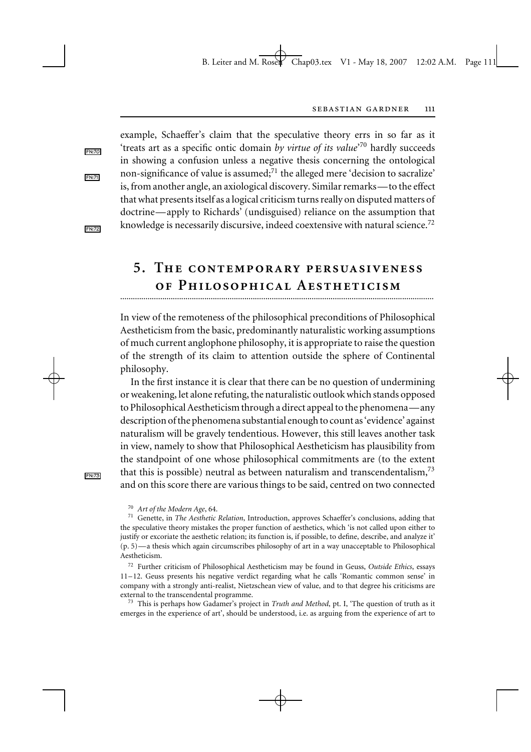$\oplus$ 

example, Schaeffer's claim that the speculative theory errs in so far as it **EN:70 treats art as a specific ontic domain** by virtue of its value<sup>70</sup> hardly succeeds in showing a confusion unless a negative thesis concerning the ontological non-significance of value is assumed;<sup>71</sup> the alleged mere 'decision to sacralize' is, from another angle, an axiological discovery. Similar remarks—to the effect that what presents itself as a logical criticism turns really on disputed matters of doctrine—apply to Richards' (undisguised) reliance on the assumption that **knowledge is necessarily discursive, indeed coextensive with natural science.**<sup>72</sup>

### **5. The contemporary persuasiveness of Philosophical Aestheticism**

••••••••••••••••••••••••••••••••••••••••••••••••••••••••••••••••••••••••••••••••••••••••••••••••••••••••••••••••••••••••••••••• ••••••••••••••••••••••

In view of the remoteness of the philosophical preconditions of Philosophical Aestheticism from the basic, predominantly naturalistic working assumptions of much current anglophone philosophy, it is appropriate to raise the question of the strength of its claim to attention outside the sphere of Continental philosophy.

In the first instance it is clear that there can be no question of undermining or weakening, let alone refuting, the naturalistic outlook which stands opposed to Philosophical Aestheticism through a direct appeal to the phenomena—any description of the phenomena substantial enough to count as 'evidence' against naturalism will be gravely tendentious. However, this still leaves another task in view, namely to show that Philosophical Aestheticism has plausibility from the standpoint of one whose philosophical commitments are (to the extent  $F<sub>1</sub>$  $F<sub>1</sub>$  $F<sub>3</sub>$  that this is possible) neutral as between naturalism and transcendentalism,<sup>73</sup> and on this score there are various things to be said, centred on two connected

<sup>72</sup> Further criticism of Philosophical Aestheticism may be found in Geuss, *Outside Ethics*, essays 11–12. Geuss presents his negative verdict regarding what he calls 'Romantic common sense' in company with a strongly anti-realist, Nietzschean view of value, and to that degree his criticisms are

<sup>73</sup> This is perhaps how Gadamer's project in *Truth and Method*, pt. I, 'The question of truth as it emerges in the experience of art', should be understood, i.e. as arguing from the experience of art to

 $\bigoplus$ 

<sup>70</sup> *Art of the Modern Age*, 64. <sup>71</sup> Genette, in *The Aesthetic Relation*, Introduction, approves Schaeffer's conclusions, adding that the speculative theory mistakes the proper function of aesthetics, which 'is not called upon either to justify or excoriate the aesthetic relation; its function is, if possible, to define, describe, and analyze it' (p. 5)—a thesis which again circumscribes philosophy of art in a way unacceptable to Philosophical Aestheticism.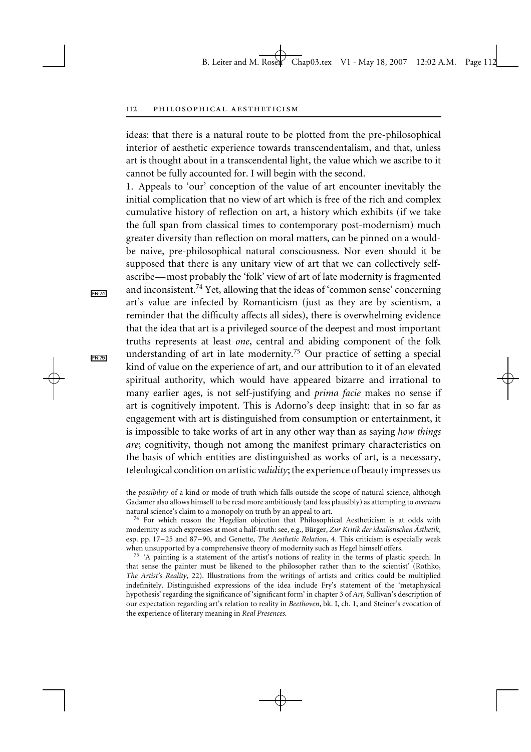#### philosophical aestheticism

 $\oplus$ 

ideas: that there is a natural route to be plotted from the pre-philosophical interior of aesthetic experience towards transcendentalism, and that, unless art is thought about in a transcendental light, the value which we ascribe to it cannot be fully accounted for. I will begin with the second.

1. Appeals to 'our' conception of the value of art encounter inevitably the initial complication that no view of art which is free of the rich and complex cumulative history of reflection on art, a history which exhibits (if we take the full span from classical times to contemporary post-modernism) much greater diversity than reflection on moral matters, can be pinned on a wouldbe naive, pre-philosophical natural consciousness. Nor even should it be supposed that there is any unitary view of art that we can collectively selfascribe—most probably the 'folk' view of art of late modernity is fragmented FN:74 and inconsistent.<sup>74</sup> Yet, allowing that the ideas of 'common sense' concerning art's value are infected by Romanticism (just as they are by scientism, a reminder that the difficulty affects all sides), there is overwhelming evidence that the idea that art is a privileged source of the deepest and most important truths represents at least *one*, central and abiding component of the folk FN:75 understanding of art in late modernity.<sup>75</sup> Our practice of setting a special kind of value on the experience of art, and our attribution to it of an elevated spiritual authority, which would have appeared bizarre and irrational to many earlier ages, is not self-justifying and *prima facie* makes no sense if art is cognitively impotent. This is Adorno's deep insight: that in so far as engagement with art is distinguished from consumption or entertainment, it is impossible to take works of art in any other way than as saying *how things are*; cognitivity, though not among the manifest primary characteristics on the basis of which entities are distinguished as works of art, is a necessary, teleological condition on artistic *validity*; the experience of beauty impresses us

> the *possibility* of a kind or mode of truth which falls outside the scope of natural science, although Gadamer also allows himself to be read more ambitiously (and less plausibly) as attempting to *overturn* natural science's claim to a monopoly on truth by an appeal to art. <sup>74</sup> For which reason the Hegelian objection that Philosophical Aestheticism is at odds with

> modernity as such expresses at most a half-truth: see, e.g., Bürger, Zur Kritik der idealistischen Ästhetik, esp. pp. 17–25 and 87–90, and Genette, *The Aesthetic Relation*, 4. This criticism is especially weak

> when unsupported by a comprehensive theory of modernity such as Hegel himself offers.<br><sup>75</sup> 'A painting is a statement of the artist's notions of reality in the terms of plastic speech. In that sense the painter must be likened to the philosopher rather than to the scientist' (Rothko, *The Artist's Reality*, 22). Illustrations from the writings of artists and critics could be multiplied indefinitely. Distinguished expressions of the idea include Fry's statement of the 'metaphysical hypothesis' regarding the significance of 'significant form' in chapter 3 of *Art*, Sullivan's description of our expectation regarding art's relation to reality in *Beethoven*, bk. I, ch. 1, and Steiner's evocation of the experience of literary meaning in *Real Presences*.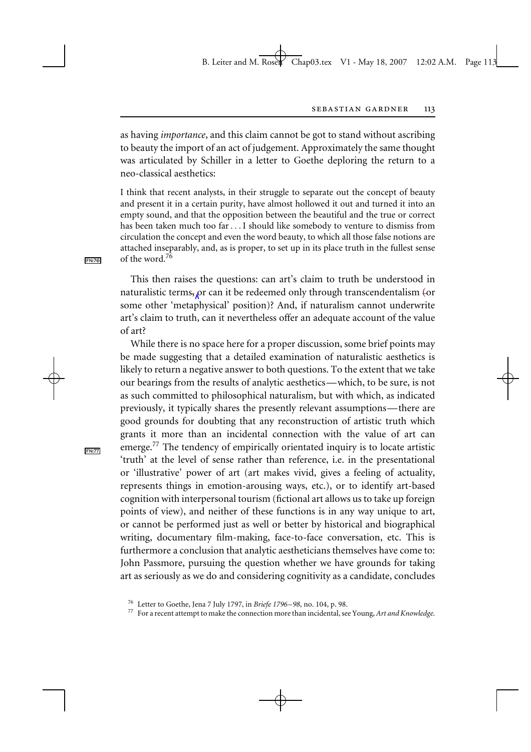$\oplus$ 

as having *importance*, and this claim cannot be got to stand without ascribing to beauty the import of an act of judgement. Approximately the same thought was articulated by Schiller in a letter to Goethe deploring the return to a neo-classical aesthetics:

I think that recent analysts, in their struggle to separate out the concept of beauty and present it in a certain purity, have almost hollowed it out and turned it into an empty sound, and that the opposition between the beautiful and the true or correct has been taken much too far*...* I should like somebody to venture to dismiss from circulation the concept and even the word beauty, to which all those false notions are attached inseparably, and, as is proper, to set up in its place truth in the fullest sense  $F<sub>N:76</sub>$  of the word.<sup>76</sup>

> This then raises the questions: can art's claim to truth be understood in naturalistic terms, or can it be redeemed only through transcendentalism (or some other 'metaphysical' position)? And, if naturalism cannot underwrite art's claim to truth, can it nevertheless offer an adequate account of the value of art?

While there is no space here for a proper discussion, some brief points may be made suggesting that a detailed examination of naturalistic aesthetics is likely to return a negative answer to both questions. To the extent that we take our bearings from the results of analytic aesthetics—which, to be sure, is not as such committed to philosophical naturalism, but with which, as indicated previously, it typically shares the presently relevant assumptions—there are good grounds for doubting that any reconstruction of artistic truth which grants it more than an incidental connection with the value of art can  $F<sub>EN:77</sub>$  emerge.<sup>77</sup> The tendency of empirically orientated inquiry is to locate artistic 'truth' at the level of sense rather than reference, i.e. in the presentational or 'illustrative' power of art (art makes vivid, gives a feeling of actuality, represents things in emotion-arousing ways, etc.), or to identify art-based cognition with interpersonal tourism (fictional art allows us to take up foreign points of view), and neither of these functions is in any way unique to art, or cannot be performed just as well or better by historical and biographical writing, documentary film-making, face-to-face conversation, etc. This is furthermore a conclusion that analytic aestheticians themselves have come to: John Passmore, pursuing the question whether we have grounds for taking art as seriously as we do and considering cognitivity as a candidate, concludes

 $\bigoplus$ 

<sup>76</sup> Letter to Goethe, Jena 7 July 1797, in *Briefe 1796–98*, no. 104, p. 98. <sup>77</sup> For a recent attempt to make the connection more than incidental, see Young, *Art and Knowledge*.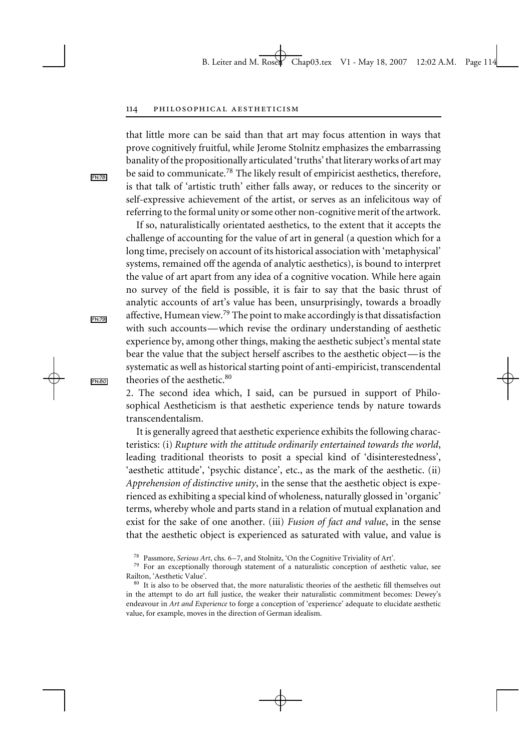#### philosophical aestheticism

that little more can be said than that art may focus attention in ways that prove cognitively fruitful, while Jerome Stolnitz emphasizes the embarrassing banality of the propositionally articulated 'truths' that literary works of art may be said to communicate.<sup>78</sup> The likely result of empiricist aesthetics, therefore, is that talk of 'artistic truth' either falls away, or reduces to the sincerity or self-expressive achievement of the artist, or serves as an infelicitous way of referring to the formal unity or some other non-cognitive merit of the artwork.

If so, naturalistically orientated aesthetics, to the extent that it accepts the challenge of accounting for the value of art in general (a question which for a long time, precisely on account of its historical association with 'metaphysical' systems, remained off the agenda of analytic aesthetics), is bound to interpret the value of art apart from any idea of a cognitive vocation. While here again no survey of the field is possible, it is fair to say that the basic thrust of analytic accounts of art's value has been, unsurprisingly, towards a broadly  $F<sub>FN:79</sub>$  affective, Humean view.<sup>79</sup> The point to make accordingly is that dissatisfaction with such accounts—which revise the ordinary understanding of aesthetic experience by, among other things, making the aesthetic subject's mental state bear the value that the subject herself ascribes to the aesthetic object—is the systematic as well as historical starting point of anti-empiricist, transcendental theories of the aesthetic.<sup>80</sup> **FN:80**

> 2. The second idea which, I said, can be pursued in support of Philosophical Aestheticism is that aesthetic experience tends by nature towards transcendentalism.

> It is generally agreed that aesthetic experience exhibits the following characteristics: (i) *Rupture with the attitude ordinarily entertained towards the world*, leading traditional theorists to posit a special kind of 'disinterestedness', 'aesthetic attitude', 'psychic distance', etc., as the mark of the aesthetic. (ii) *Apprehension of distinctive unity*, in the sense that the aesthetic object is experienced as exhibiting a special kind of wholeness, naturally glossed in 'organic' terms, whereby whole and parts stand in a relation of mutual explanation and exist for the sake of one another. (iii) *Fusion of fact and value*, in the sense that the aesthetic object is experienced as saturated with value, and value is

 $\bigoplus$ 

<sup>78</sup> Passmore, *Serious Art*, chs. 6–7, and Stolnitz, 'On the Cognitive Triviality of Art'. <sup>79</sup> For an exceptionally thorough statement of a naturalistic conception of aesthetic value, see Railton, 'Aesthetic Value'.<br><sup>80</sup> It is also to be observed that, the more naturalistic theories of the aesthetic fill themselves out

in the attempt to do art full justice, the weaker their naturalistic commitment becomes: Dewey's endeavour in *Art and Experience* to forge a conception of 'experience' adequate to elucidate aesthetic value, for example, moves in the direction of German idealism.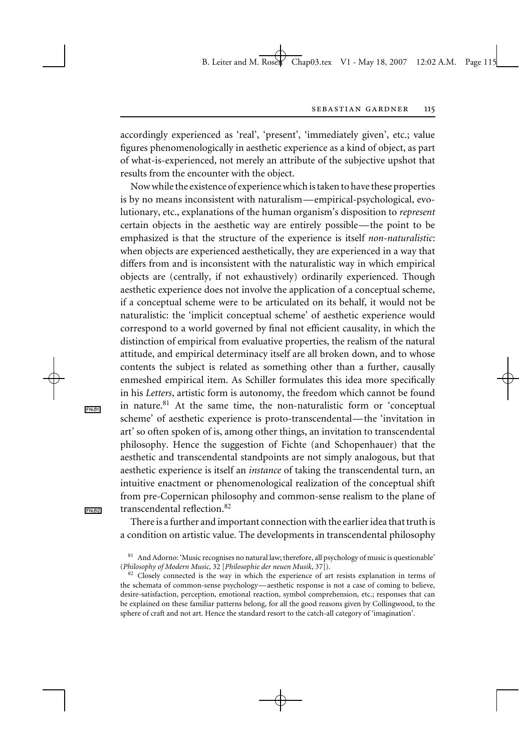$\oplus$ 

accordingly experienced as 'real', 'present', 'immediately given', etc.; value figures phenomenologically in aesthetic experience as a kind of object, as part of what-is-experienced, not merely an attribute of the subjective upshot that results from the encounter with the object.

Now while the existence of experience which is taken to have these properties is by no means inconsistent with naturalism—empirical-psychological, evolutionary, etc., explanations of the human organism's disposition to *represent* certain objects in the aesthetic way are entirely possible—the point to be emphasized is that the structure of the experience is itself *non-naturalistic*: when objects are experienced aesthetically, they are experienced in a way that differs from and is inconsistent with the naturalistic way in which empirical objects are (centrally, if not exhaustively) ordinarily experienced. Though aesthetic experience does not involve the application of a conceptual scheme, if a conceptual scheme were to be articulated on its behalf, it would not be naturalistic: the 'implicit conceptual scheme' of aesthetic experience would correspond to a world governed by final not efficient causality, in which the distinction of empirical from evaluative properties, the realism of the natural attitude, and empirical determinacy itself are all broken down, and to whose contents the subject is related as something other than a further, causally enmeshed empirical item. As Schiller formulates this idea more specifically in his *Letters*, artistic form is autonomy, the freedom which cannot be found  $F<sub>IN:81</sub>$  in nature.<sup>81</sup> At the same time, the non-naturalistic form or 'conceptual scheme' of aesthetic experience is proto-transcendental—the 'invitation in art' so often spoken of is, among other things, an invitation to transcendental philosophy. Hence the suggestion of Fichte (and Schopenhauer) that the aesthetic and transcendental standpoints are not simply analogous, but that aesthetic experience is itself an *instance* of taking the transcendental turn, an intuitive enactment or phenomenological realization of the conceptual shift from pre-Copernican philosophy and common-sense realism to the plane of transcendental reflection.<sup>82</sup> **FN:82**

 $\oplus$ 

There is a further and important connection with the earlier idea that truth is a condition on artistic value. The developments in transcendental philosophy

<sup>81</sup> And Adorno: 'Music recognises no natural law; therefore, all psychology of music is questionable'

(*Philosophy of Modern Music*, 32 [*Philosophie der neuen Musik*, 37]). <sup>82</sup> Closely connected is the way in which the experience of art resists explanation in terms of the schemata of common-sense psychology—aesthetic response is not a case of coming to believe, desire-satisfaction, perception, emotional reaction, symbol comprehension, etc.; responses that can be explained on these familiar patterns belong, for all the good reasons given by Collingwood, to the sphere of craft and not art. Hence the standard resort to the catch-all category of 'imagination'.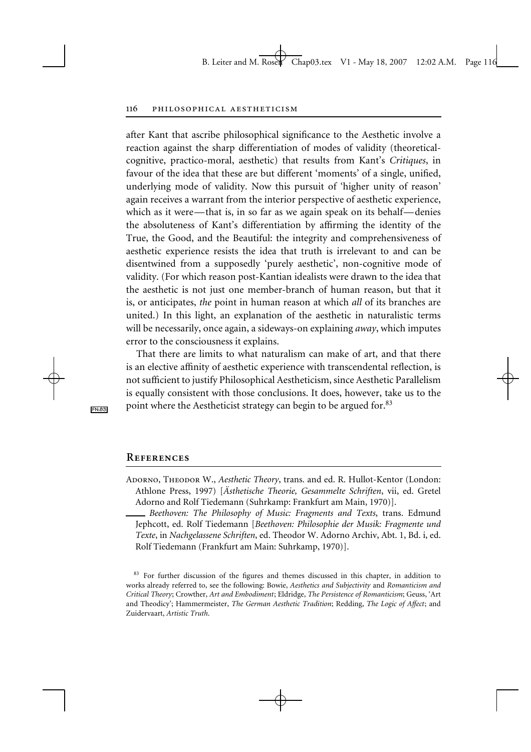#### philosophical aestheticism

after Kant that ascribe philosophical significance to the Aesthetic involve a reaction against the sharp differentiation of modes of validity (theoreticalcognitive, practico-moral, aesthetic) that results from Kant's *Critiques*, in favour of the idea that these are but different 'moments' of a single, unified, underlying mode of validity. Now this pursuit of 'higher unity of reason' again receives a warrant from the interior perspective of aesthetic experience, which as it were—that is, in so far as we again speak on its behalf—denies the absoluteness of Kant's differentiation by affirming the identity of the True, the Good, and the Beautiful: the integrity and comprehensiveness of aesthetic experience resists the idea that truth is irrelevant to and can be disentwined from a supposedly 'purely aesthetic', non-cognitive mode of validity. (For which reason post-Kantian idealists were drawn to the idea that the aesthetic is not just one member-branch of human reason, but that it is, or anticipates, *the* point in human reason at which *all* of its branches are united.) In this light, an explanation of the aesthetic in naturalistic terms will be necessarily, once again, a sideways-on explaining *away*, which imputes error to the consciousness it explains.

That there are limits to what naturalism can make of art, and that there is an elective affinity of aesthetic experience with transcendental reflection, is not sufficient to justify Philosophical Aestheticism, since Aesthetic Parallelism is equally consistent with those conclusions. It does, however, take us to the **point where the Aestheticist strategy can begin to be argued for.**83

 $\oplus$ 

 $\oplus$ 

#### **References**

Adorno, Theodor W., *Aesthetic Theory*, trans. and ed. R. Hullot-Kentor (London: Athlone Press, 1997) [*Asthetische Theorie, Gesammelte Schriften ¨* , vii, ed. Gretel Adorno and Rolf Tiedemann (Suhrkamp: Frankfurt am Main, 1970)].

*Beethoven: The Philosophy of Music: Fragments and Texts*, trans. Edmund Jephcott, ed. Rolf Tiedemann [*Beethoven: Philosophie der Musik: Fragmente und Texte*, in *Nachgelassene Schriften*, ed. Theodor W. Adorno Archiv, Abt. 1, Bd. i, ed. Rolf Tiedemann (Frankfurt am Main: Suhrkamp, 1970)].

<sup>&</sup>lt;sup>83</sup> For further discussion of the figures and themes discussed in this chapter, in addition to works already referred to, see the following: Bowie, *Aesthetics and Subjectivity* and *Romanticism and Critical Theory*; Crowther, *Art and Embodiment*; Eldridge, *The Persistence of Romanticism*; Geuss, 'Art and Theodicy'; Hammermeister, *The German Aesthetic Tradition*; Redding, *The Logic of Affect*; and Zuidervaart, *Artistic Truth*.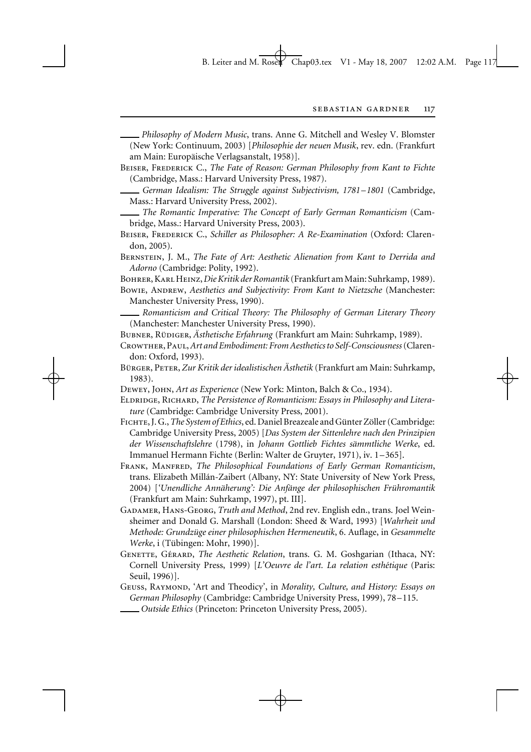$\oplus$ 

- *Philosophy of Modern Music*, trans. Anne G. Mitchell and Wesley V. Blomster (New York: Continuum, 2003) [*Philosophie der neuen Musik*, rev. edn. (Frankfurt am Main: Europäische Verlagsanstalt, 1958)].
- BEISER, FREDERICK C., *The Fate of Reason: German Philosophy from Kant to Fichte* (Cambridge, Mass.: Harvard University Press, 1987).
- *German Idealism: The Struggle against Subjectivism, 1781–1801* (Cambridge, Mass.: Harvard University Press, 2002).
- *The Romantic Imperative: The Concept of Early German Romanticism* (Cambridge, Mass.: Harvard University Press, 2003).
- Beiser, Frederick C., *Schiller as Philosopher: A Re-Examination* (Oxford: Clarendon, 2005).
- Bernstein, J. M., *The Fate of Art: Aesthetic Alienation from Kant to Derrida and Adorno* (Cambridge: Polity, 1992).
- Bohrer, KarlHeinz,*Die Kritik der Romantik* (Frankfurt am Main: Suhrkamp, 1989).
- Bowie, Andrew, *Aesthetics and Subjectivity: From Kant to Nietzsche* (Manchester: Manchester University Press, 1990).
- *Romanticism and Critical Theory: The Philosophy of German Literary Theory* (Manchester: Manchester University Press, 1990).
- Bubner, Rudiger ¨ , *Asthetische Erfahrung ¨* (Frankfurt am Main: Suhrkamp, 1989).
- Crowther, Paul,*Art and Embodiment: From Aesthetics to Self-Consciousness*(Clarendon: Oxford, 1993).
- Bürger, Peter, Zur Kritik der idealistischen Ästhetik (Frankfurt am Main: Suhrkamp, 1983).
- Dewey, John, *Art as Experience* (New York: Minton, Balch & Co., 1934).

 $\bigoplus$ 

- Eldridge, Richard, *The Persistence of Romanticism: Essays in Philosophy and Literature* (Cambridge: Cambridge University Press, 2001).
- FICHTE, J. G., *The System of Ethics*, ed. Daniel Breazeale and Günter Zöller (Cambridge: Cambridge University Press, 2005) [*Das System der Sittenlehre nach den Prinzipien der Wissenschaftslehre* (1798), in *Johann Gottlieb Fichtes sammtliche Werke ¨* , ed. Immanuel Hermann Fichte (Berlin: Walter de Gruyter, 1971), iv. 1–365].
- Frank, Manfred, *The Philosophical Foundations of Early German Romanticism*, trans. Elizabeth Millán-Zaibert (Albany, NY: State University of New York Press, 2004) [*'Unendliche Annaherung': Die Anf ¨ ange der philosophischen Fr ¨ uhromantik ¨* (Frankfurt am Main: Suhrkamp, 1997), pt. III].
- Gadamer, Hans-Georg, *Truth and Method*, 2nd rev. English edn., trans. Joel Weinsheimer and Donald G. Marshall (London: Sheed & Ward, 1993) [*Wahrheit und Methode: Grundzuge einer philosophischen Hermeneutik ¨* , 6. Auflage, in *Gesammelte Werke*, *i* (Tübingen: Mohr, 1990)].
- GENETTE, GÉRARD, *The Aesthetic Relation*, trans. G. M. Goshgarian (Ithaca, NY: Cornell University Press, 1999) [*L'Oeuvre de l'art. La relation esthétique* (Paris: Seuil, 1996)].
- GEUSS, RAYMOND, 'Art and Theodicy', in *Morality, Culture, and History: Essays on German Philosophy* (Cambridge: Cambridge University Press, 1999), 78–115.

 $\bigoplus$ 

*Outside Ethics* (Princeton: Princeton University Press, 2005).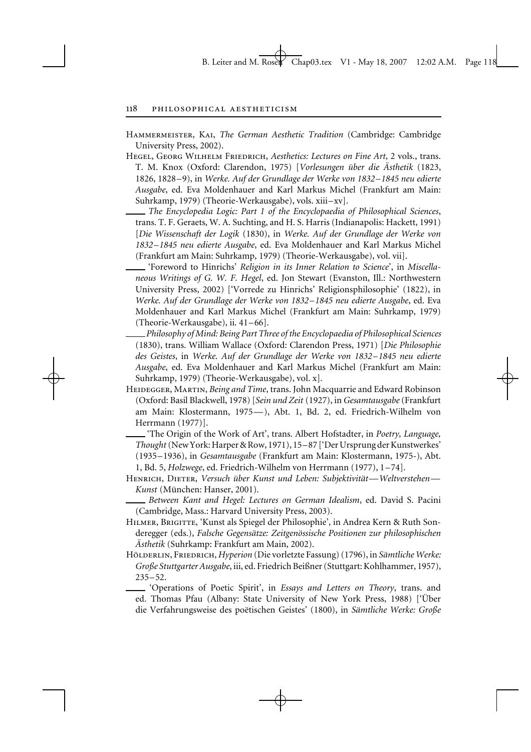#### philosophical aestheticism

 $\bigoplus$ 

- Hammermeister, Kai, *The German Aesthetic Tradition* (Cambridge: Cambridge University Press, 2002).
- Hegel, Georg Wilhelm Friedrich, *Aesthetics: Lectures on Fine Art*, 2 vols., trans. T. M. Knox (Oxford: Clarendon, 1975) [*Vorlesungen uber die ¨ Asthetik ¨* (1823, 1826, 1828–9), in *Werke. Auf der Grundlage der Werke von 1832–1845 neu edierte Ausgabe*, ed. Eva Moldenhauer and Karl Markus Michel (Frankfurt am Main: Suhrkamp, 1979) (Theorie-Werkausgabe), vols. xiii–xv].
	- *The Encyclopedia Logic: Part 1 of the Encyclopaedia of Philosophical Sciences*, trans. T. F. Geraets, W. A. Suchting, and H. S. Harris (Indianapolis: Hackett, 1991) [*Die Wissenschaft der Logik* (1830), in *Werke. Auf der Grundlage der Werke von 1832–1845 neu edierte Ausgabe*, ed. Eva Moldenhauer and Karl Markus Michel (Frankfurt am Main: Suhrkamp, 1979) (Theorie-Werkausgabe), vol. vii].
- 'Foreword to Hinrichs' *Religion in its Inner Relation to Science*', in *Miscellaneous Writings of G. W. F. Hegel*, ed. Jon Stewart (Evanston, Ill.: Northwestern University Press, 2002) ['Vorrede zu Hinrichs' Religionsphilosophie' (1822), in *Werke. Auf der Grundlage der Werke von 1832–1845 neu edierte Ausgabe*, ed. Eva Moldenhauer and Karl Markus Michel (Frankfurt am Main: Suhrkamp, 1979) (Theorie-Werkausgabe), ii. 41–66].
- *Philosophy of Mind: Being Part Three of the Encyclopaedia of Philosophical Sciences* (1830), trans. William Wallace (Oxford: Clarendon Press, 1971) [*Die Philosophie des Geistes*, in *Werke. Auf der Grundlage der Werke von 1832–1845 neu edierte Ausgabe*, ed. Eva Moldenhauer and Karl Markus Michel (Frankfurt am Main: Suhrkamp, 1979) (Theorie-Werkausgabe), vol. x].
- Heidegger, Martin, *Being and Time*, trans. John Macquarrie and Edward Robinson (Oxford: Basil Blackwell, 1978) [*Sein und Zeit* (1927), in *Gesamtausgabe*(Frankfurt am Main: Klostermann, 1975—), Abt. 1, Bd. 2, ed. Friedrich-Wilhelm von Herrmann (1977)].
- 'The Origin of the Work of Art', trans. Albert Hofstadter, in *Poetry, Language, Thought*(New York: Harper & Row, 1971), 15–87 ['Der Ursprung der Kunstwerkes' (1935–1936), in *Gesamtausgabe* (Frankfurt am Main: Klostermann, 1975-), Abt. 1, Bd. 5, *Holzwege*, ed. Friedrich-Wilhelm von Herrmann (1977), 1–74].
- HENRICH, DIETER, Versuch über Kunst und Leben: Subjektivität-Weltverstehen-*Kunst* (München: Hanser, 2001).
- *Between Kant and Hegel: Lectures on German Idealism*, ed. David S. Pacini (Cambridge, Mass.: Harvard University Press, 2003).
- HILMER, BRIGITTE, 'Kunst als Spiegel der Philosophie', in Andrea Kern & Ruth Sonderegger (eds.), *Falsche Gegensatze: Zeitgen ¨ ossische Positionen zur philosophischen ¨*  $\ddot{A}$ *sthetik* (Suhrkamp: Frankfurt am Main, 2002).
- HÖLDERLIN, FRIEDRICH, *Hyperion* (Die vorletzte Fassung) (1796), in *Sämtliche Werke*: *Große Stuttgarter Ausgabe*, iii, ed. Friedrich Beißner (Stuttgart: Kohlhammer, 1957),  $235 - 52$ .

'Operations of Poetic Spirit', in *Essays and Letters on Theory*, trans. and ed. Thomas Pfau (Albany: State University of New York Press, 1988) ['Über die Verfahrungsweise des poëtischen Geistes' (1800), in *Sämtliche Werke: Große*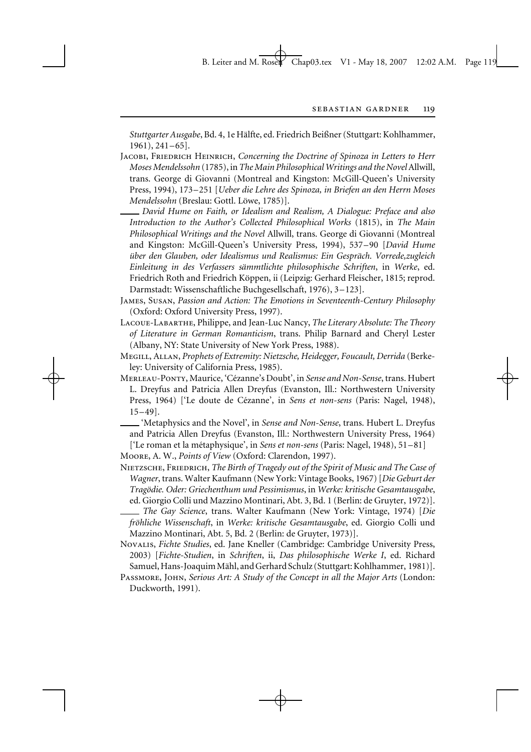$\oplus$ 

*Stuttgarter Ausgabe*, Bd. 4, 1e Halfte, ed. Friedrich Beißner (Stuttgart: Kohlhammer, ¨ 1961), 241–65].

Jacobi, Friedrich Heinrich, *Concerning the Doctrine of Spinoza in Letters to Herr Moses Mendelssohn* (1785), in *The Main Philosophical Writings and the Novel*Allwill, trans. George di Giovanni (Montreal and Kingston: McGill-Queen's University Press, 1994), 173–251 [*Ueber die Lehre des Spinoza, in Briefen an den Herrn Moses Mendelssohn* (Breslau: Gottl. Löwe, 1785)].

*David Hume on Faith, or Idealism and Realism, A Dialogue: Preface and also Introduction to the Author's Collected Philosophical Works* (1815), in *The Main Philosophical Writings and the Novel* Allwill, trans. George di Giovanni (Montreal and Kingston: McGill-Queen's University Press, 1994), 537–90 [*David Hume über den Glauben, oder Idealismus und Realismus: Ein Gespräch. Vorrede,zugleich Einleitung in des Verfassers sammtlichte philosophische Schriften ¨* , in *Werke*, ed. Friedrich Roth and Friedrich Köppen, ii (Leipzig: Gerhard Fleischer, 1815; reprod. Darmstadt: Wissenschaftliche Buchgesellschaft, 1976), 3–123].

James, Susan, *Passion and Action: The Emotions in Seventeenth-Century Philosophy* (Oxford: Oxford University Press, 1997).

- Lacoue-Labarthe, Philippe, and Jean-Luc Nancy, *The Literary Absolute: The Theory of Literature in German Romanticism*, trans. Philip Barnard and Cheryl Lester (Albany, NY: State University of New York Press, 1988).
- Megill, Allan, *Prophets of Extremity: Nietzsche, Heidegger, Foucault, Derrida* (Berkeley: University of California Press, 1985).
- Merleau-Ponty, Maurice, 'Cezanne's Doubt', in ´ *Sense and Non-Sense*, trans. Hubert L. Dreyfus and Patricia Allen Dreyfus (Evanston, Ill.: Northwestern University Press, 1964) ['Le doute de Cézanne', in Sens et non-sens (Paris: Nagel, 1948), 15–49].
- 'Metaphysics and the Novel', in *Sense and Non-Sense*, trans. Hubert L. Dreyfus and Patricia Allen Dreyfus (Evanston, Ill.: Northwestern University Press, 1964) ['Le roman et la métaphysique', in *Sens et non-sens* (Paris: Nagel, 1948), 51–81]

Moore, A. W., *Points of View* (Oxford: Clarendon, 1997).

 $\bigoplus$ 

Nietzsche, Friedrich, *The Birth of Tragedy out of the Spirit of Music and The Case of Wagner*, trans. Walter Kaufmann (New York: Vintage Books, 1967) [*Die Geburt der Tragodie. Oder: Griechenthum und Pessimismus ¨* , in *Werke: kritische Gesamtausgabe*, ed. Giorgio Colli und Mazzino Montinari, Abt. 3, Bd. 1 (Berlin: de Gruyter, 1972)].

*The Gay Science*, trans. Walter Kaufmann (New York: Vintage, 1974) [*Die frohliche Wissenschaft ¨* , in *Werke: kritische Gesamtausgabe*, ed. Giorgio Colli und Mazzino Montinari, Abt. 5, Bd. 2 (Berlin: de Gruyter, 1973)].

Novalis, *Fichte Studies*, ed. Jane Kneller (Cambridge: Cambridge University Press, 2003) [*Fichte-Studien*, in *Schriften*, ii, *Das philosophische Werke I*, ed. Richard Samuel, Hans-Joaquim Mahl, and Gerhard Schulz (Stuttgart: Kohlhammer, 1981)]. ¨

Passmore, John, *Serious Art: A Study of the Concept in all the Major Arts* (London: Duckworth, 1991).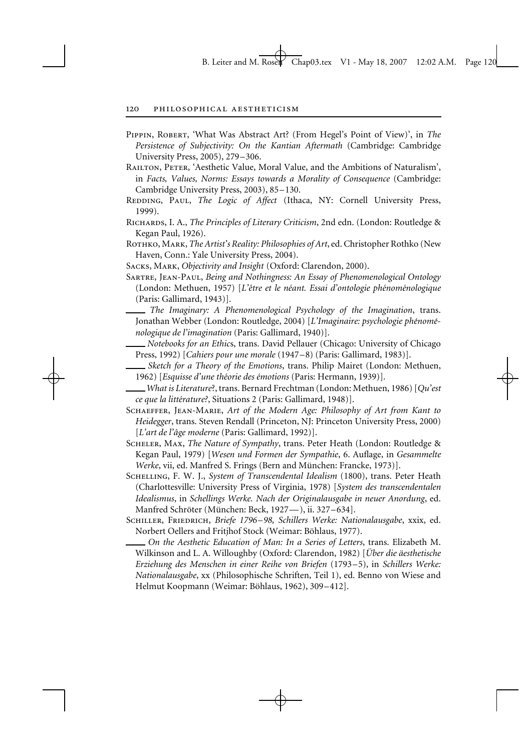#### philosophical aestheticism

 $\bigoplus$ 

- Pippin, Robert, 'What Was Abstract Art? (From Hegel's Point of View)', in *The Persistence of Subjectivity: On the Kantian Aftermath* (Cambridge: Cambridge University Press, 2005), 279–306.
- Railton, Peter, 'Aesthetic Value, Moral Value, and the Ambitions of Naturalism', in *Facts, Values, Norms: Essays towards a Morality of Consequence* (Cambridge: Cambridge University Press, 2003), 85–130.
- Redding, Paul, *The Logic of Affect* (Ithaca, NY: Cornell University Press, 1999).
- Richards, I. A., *The Principles of Literary Criticism*, 2nd edn. (London: Routledge & Kegan Paul, 1926).
- Rothko, Mark, *The Artist's Reality: Philosophies of Art*, ed. Christopher Rothko (New Haven, Conn.: Yale University Press, 2004).
- Sacks, Mark, *Objectivity and Insight* (Oxford: Clarendon, 2000).
- Sartre, Jean-Paul, *Being and Nothingness: An Essay of Phenomenological Ontology* (London: Methuen, 1957) [*L'ˆetre et le n´eant. Essai d'ontologie ph´enom´enologique* (Paris: Gallimard, 1943)].
	- *The Imaginary: A Phenomenological Psychology of the Imagination*, trans. Jonathan Webber (London: Routledge, 2004) [L'Imaginaire: psychologie phénomé*nologique de l'imagination* (Paris: Gallimard, 1940)].
- *Notebooks for an Ethic*s, trans. David Pellauer (Chicago: University of Chicago Press, 1992) [*Cahiers pour une morale* (1947–8) (Paris: Gallimard, 1983)].
- *Sketch for a Theory of the Emotions*, trans. Philip Mairet (London: Methuen, 1962) [*Esquisse d'une théorie des émotions* (Paris: Hermann, 1939)].

 $\oplus$ 

- *What is Literature*?, trans. Bernard Frechtman (London: Methuen, 1986) [*Qu'est ce que la litt´erature?*, Situations 2 (Paris: Gallimard, 1948)].
- Schaeffer, Jean-Marie, *Art of the Modern Age: Philosophy of Art from Kant to Heidegger*, trans. Steven Rendall (Princeton, NJ: Princeton University Press, 2000) [*L'art de l'âge moderne* (Paris: Gallimard, 1992)].
- Scheler, Max, *The Nature of Sympathy*, trans. Peter Heath (London: Routledge & Kegan Paul, 1979) [*Wesen und Formen der Sympathie*, 6. Auflage, in *Gesammelte Werke*, vii, ed. Manfred S. Frings (Bern and München: Francke, 1973)].
- Schelling, F. W. J., *System of Transcendental Idealism* (1800), trans. Peter Heath (Charlottesville: University Press of Virginia, 1978) [*System des transcendentalen Idealismus*, in *Schellings Werke. Nach der Originalausgabe in neuer Anordung*, ed. Manfred Schröter (München: Beck, 1927—), ii. 327-634].
- Schiller, Friedrich, *Briefe 1796–98, Schillers Werke: Nationalausgabe*, xxix, ed. Norbert Oellers and Fritjhof Stock (Weimar: Böhlaus, 1977).
- *On the Aesthetic Education of Man: In a Series of Letters*, trans. Elizabeth M. Wilkinson and L. A. Willoughby (Oxford: Clarendon, 1982) [*Über die äesthetische Erziehung des Menschen in einer Reihe von Briefen* (1793–5), in *Schillers Werke: Nationalausgabe*, xx (Philosophische Schriften, Teil 1), ed. Benno von Wiese and Helmut Koopmann (Weimar: Böhlaus, 1962), 309-412].